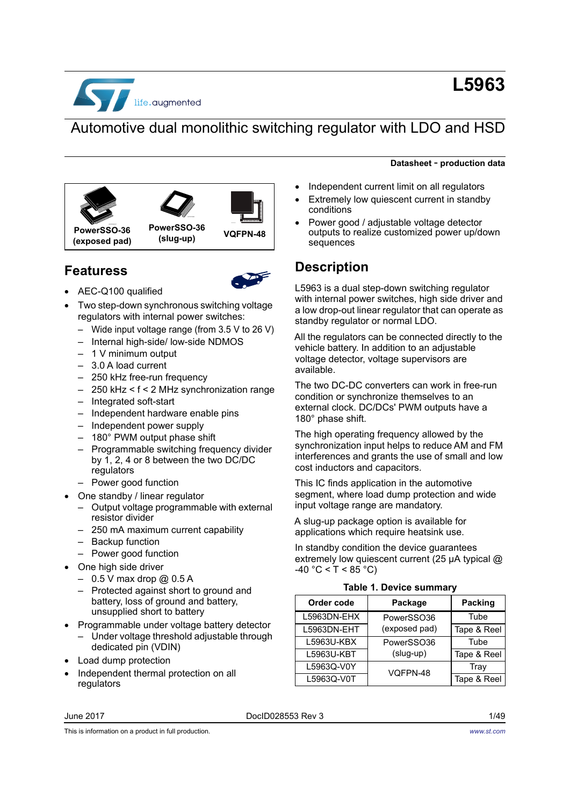

# **L5963**

# Automotive dual monolithic switching regulator with LDO and HSD





**Featuress**



- AEC-Q100 qualified
- Two step-down synchronous switching voltage regulators with internal power switches:
	- Wide input voltage range (from 3.5 V to 26 V)
	- Internal high-side/ low-side NDMOS
	- 1 V minimum output
	- 3.0 A load current
	- 250 kHz free-run frequency
	- 250 kHz < f < 2 MHz synchronization range
	- Integrated soft-start
	- Independent hardware enable pins
	- Independent power supply
	- 180° PWM output phase shift
	- Programmable switching frequency divider by 1, 2, 4 or 8 between the two DC/DC regulators
	- Power good function
- One standby / linear regulator
	- Output voltage programmable with external resistor divider
	- 250 mA maximum current capability
	- Backup function
	- Power good function
	- One high side driver
	- $-$  0.5 V max drop @ 0.5 A
	- Protected against short to ground and battery, loss of ground and battery, unsupplied short to battery
- Programmable under voltage battery detector
	- Under voltage threshold adjustable through dedicated pin (VDIN)
- Load dump protection
- Independent thermal protection on all regulators

#### June 2017 DocID028553 Rev 3 1/[49](#page-48-0)

**Datasheet** - **production data**

- Independent current limit on all regulators
- Extremely low quiescent current in standby conditions
- Power good / adjustable voltage detector outputs to realize customized power up/down sequences

## **Description**

L5963 is a dual step-down switching regulator with internal power switches, high side driver and a low drop-out linear regulator that can operate as standby regulator or normal LDO.

All the regulators can be connected directly to the vehicle battery. In addition to an adjustable voltage detector, voltage supervisors are available.

The two DC-DC converters can work in free-run condition or synchronize themselves to an external clock. DC/DCs' PWM outputs have a 180° phase shift.

The high operating frequency allowed by the synchronization input helps to reduce AM and FM interferences and grants the use of small and low cost inductors and capacitors.

This IC finds application in the automotive segment, where load dump protection and wide input voltage range are mandatory.

A slug-up package option is available for applications which require heatsink use.

In standby condition the device guarantees extremely low quiescent current (25 μA typical @  $-40 °C < T < 85 °C$ )

<span id="page-0-1"></span>

<span id="page-0-0"></span>

| Order code  | Package       | Packing     |
|-------------|---------------|-------------|
| L5963DN-EHX | PowerSSO36    | Tube        |
| L5963DN-EHT | (exposed pad) | Tape & Reel |
| L5963U-KBX  | PowerSSO36    | Tube        |
| L5963U-KBT  | (slug-up)     | Tape & Reel |
| L5963Q-V0Y  | VQFPN-48      | Tray        |
| L5963Q-V0T  |               | Tape & Reel |

This is information on a product in full production.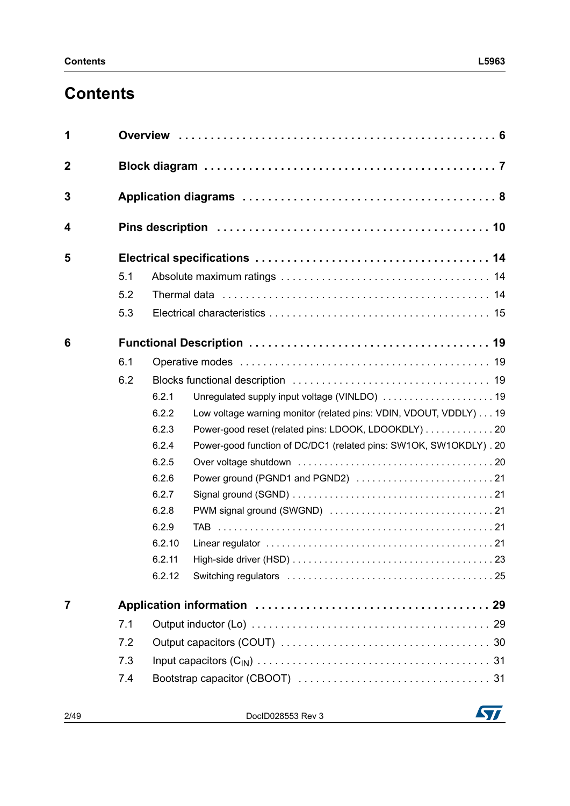# **Contents**

| $\mathbf 2$<br>3<br>4<br>5<br>5.1<br>5.2<br>5.3<br>6<br>6.1<br>6.2<br>6.2.1<br>6.2.2<br>Low voltage warning monitor (related pins: VDIN, VDOUT, VDDLY) 19<br>6.2.3<br>Power-good reset (related pins: LDOOK, LDOOKDLY) 20<br>6.2.4<br>Power-good function of DC/DC1 (related pins: SW1OK, SW1OKDLY). 20<br>6.2.5<br>6.2.6<br>6.2.7<br>6.2.8<br>6.2.9<br>6.2.10<br>6.2.11<br>6.2.12 |  |  |  |  |  |  |
|------------------------------------------------------------------------------------------------------------------------------------------------------------------------------------------------------------------------------------------------------------------------------------------------------------------------------------------------------------------------------------|--|--|--|--|--|--|
|                                                                                                                                                                                                                                                                                                                                                                                    |  |  |  |  |  |  |
|                                                                                                                                                                                                                                                                                                                                                                                    |  |  |  |  |  |  |
|                                                                                                                                                                                                                                                                                                                                                                                    |  |  |  |  |  |  |
|                                                                                                                                                                                                                                                                                                                                                                                    |  |  |  |  |  |  |
|                                                                                                                                                                                                                                                                                                                                                                                    |  |  |  |  |  |  |
|                                                                                                                                                                                                                                                                                                                                                                                    |  |  |  |  |  |  |
|                                                                                                                                                                                                                                                                                                                                                                                    |  |  |  |  |  |  |
|                                                                                                                                                                                                                                                                                                                                                                                    |  |  |  |  |  |  |
|                                                                                                                                                                                                                                                                                                                                                                                    |  |  |  |  |  |  |
|                                                                                                                                                                                                                                                                                                                                                                                    |  |  |  |  |  |  |
|                                                                                                                                                                                                                                                                                                                                                                                    |  |  |  |  |  |  |
|                                                                                                                                                                                                                                                                                                                                                                                    |  |  |  |  |  |  |
|                                                                                                                                                                                                                                                                                                                                                                                    |  |  |  |  |  |  |
|                                                                                                                                                                                                                                                                                                                                                                                    |  |  |  |  |  |  |
|                                                                                                                                                                                                                                                                                                                                                                                    |  |  |  |  |  |  |
|                                                                                                                                                                                                                                                                                                                                                                                    |  |  |  |  |  |  |
|                                                                                                                                                                                                                                                                                                                                                                                    |  |  |  |  |  |  |
|                                                                                                                                                                                                                                                                                                                                                                                    |  |  |  |  |  |  |
|                                                                                                                                                                                                                                                                                                                                                                                    |  |  |  |  |  |  |
|                                                                                                                                                                                                                                                                                                                                                                                    |  |  |  |  |  |  |
|                                                                                                                                                                                                                                                                                                                                                                                    |  |  |  |  |  |  |
|                                                                                                                                                                                                                                                                                                                                                                                    |  |  |  |  |  |  |
| $\overline{7}$                                                                                                                                                                                                                                                                                                                                                                     |  |  |  |  |  |  |
| 7.1                                                                                                                                                                                                                                                                                                                                                                                |  |  |  |  |  |  |
| 7.2                                                                                                                                                                                                                                                                                                                                                                                |  |  |  |  |  |  |
| 7.3                                                                                                                                                                                                                                                                                                                                                                                |  |  |  |  |  |  |
| 7.4                                                                                                                                                                                                                                                                                                                                                                                |  |  |  |  |  |  |

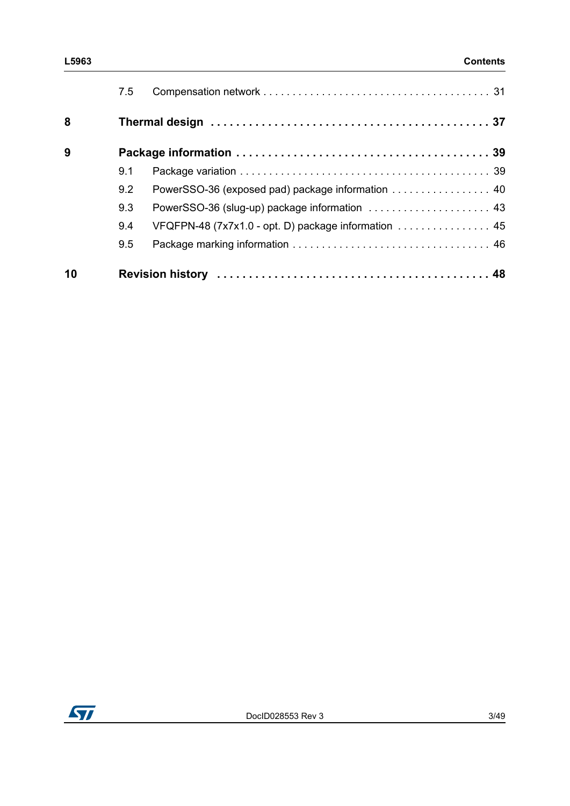|    | 7.5 |                                                      |  |
|----|-----|------------------------------------------------------|--|
| 8  |     |                                                      |  |
| 9  |     |                                                      |  |
|    | 9.1 |                                                      |  |
|    | 9.2 | PowerSSO-36 (exposed pad) package information  40    |  |
|    | 9.3 | PowerSSO-36 (slug-up) package information  43        |  |
|    | 9.4 | VFQFPN-48 (7x7x1.0 - opt. D) package information  45 |  |
|    | 9.5 |                                                      |  |
| 10 |     |                                                      |  |

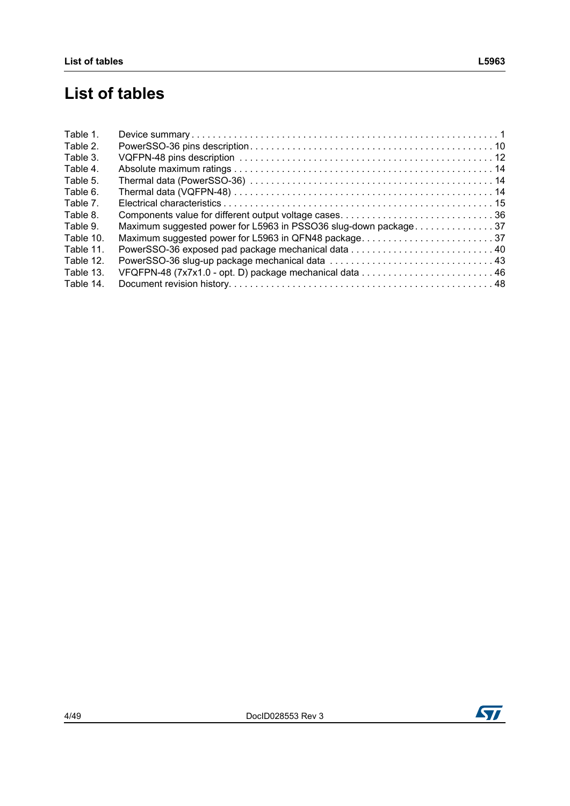# **List of tables**

| Table 1.  |                                                                 |  |
|-----------|-----------------------------------------------------------------|--|
| Table 2.  |                                                                 |  |
| Table 3.  |                                                                 |  |
| Table 4.  |                                                                 |  |
| Table 5.  |                                                                 |  |
| Table 6.  |                                                                 |  |
| Table 7.  |                                                                 |  |
| Table 8.  |                                                                 |  |
| Table 9.  | Maximum suggested power for L5963 in PSSO36 slug-down package37 |  |
| Table 10. | Maximum suggested power for L5963 in QFN48 package37            |  |
| Table 11. |                                                                 |  |
| Table 12. |                                                                 |  |
| Table 13. |                                                                 |  |
| Table 14. |                                                                 |  |
|           |                                                                 |  |

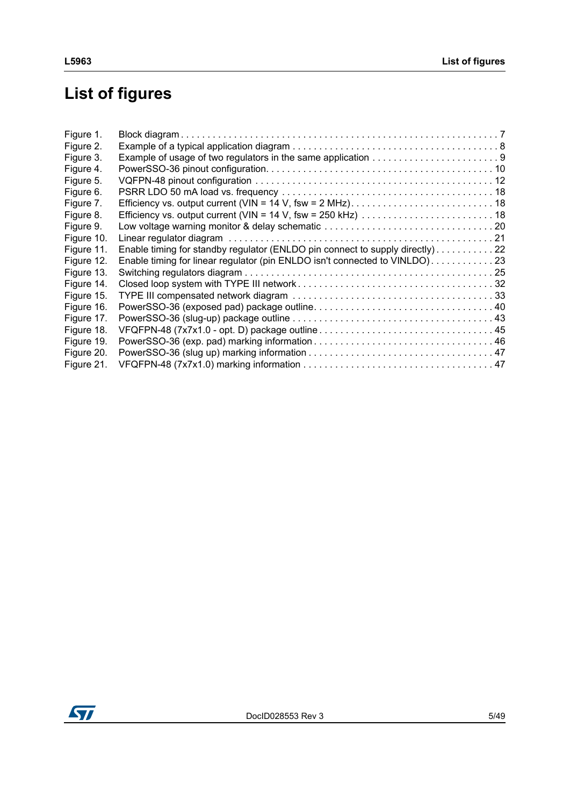# **List of figures**

| Figure 1.  |                                                                                |
|------------|--------------------------------------------------------------------------------|
| Figure 2.  |                                                                                |
| Figure 3.  |                                                                                |
| Figure 4.  |                                                                                |
| Figure 5.  |                                                                                |
| Figure 6.  |                                                                                |
| Figure 7.  |                                                                                |
| Figure 8.  |                                                                                |
| Figure 9.  |                                                                                |
| Figure 10. |                                                                                |
| Figure 11. | Enable timing for standby regulator (ENLDO pin connect to supply directly). 22 |
| Figure 12. | Enable timing for linear regulator (pin ENLDO isn't connected to VINLDO)23     |
| Figure 13. |                                                                                |
| Figure 14. |                                                                                |
| Figure 15. |                                                                                |
| Figure 16. |                                                                                |
| Figure 17. |                                                                                |
| Figure 18. |                                                                                |
| Figure 19. |                                                                                |
| Figure 20. |                                                                                |
| Figure 21. |                                                                                |

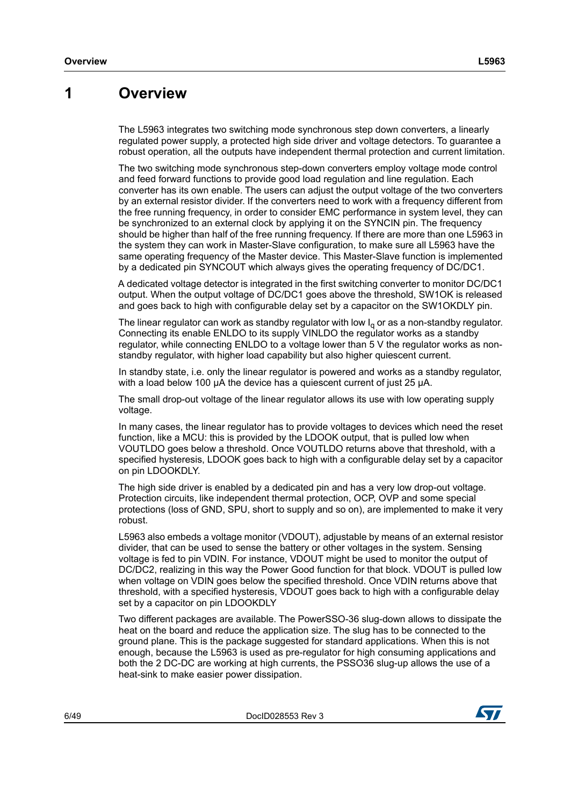### <span id="page-5-0"></span>**1 Overview**

The L5963 integrates two switching mode synchronous step down converters, a linearly regulated power supply, a protected high side driver and voltage detectors. To guarantee a robust operation, all the outputs have independent thermal protection and current limitation.

The two switching mode synchronous step-down converters employ voltage mode control and feed forward functions to provide good load regulation and line regulation. Each converter has its own enable. The users can adjust the output voltage of the two converters by an external resistor divider. If the converters need to work with a frequency different from the free running frequency, in order to consider EMC performance in system level, they can be synchronized to an external clock by applying it on the SYNCIN pin. The frequency should be higher than half of the free running frequency. If there are more than one L5963 in the system they can work in Master-Slave configuration, to make sure all L5963 have the same operating frequency of the Master device. This Master-Slave function is implemented by a dedicated pin SYNCOUT which always gives the operating frequency of DC/DC1.

A dedicated voltage detector is integrated in the first switching converter to monitor DC/DC1 output. When the output voltage of DC/DC1 goes above the threshold, SW1OK is released and goes back to high with configurable delay set by a capacitor on the SW1OKDLY pin.

The linear regulator can work as standby regulator with low  $I<sub>q</sub>$  or as a non-standby regulator. Connecting its enable ENLDO to its supply VINLDO the regulator works as a standby regulator, while connecting ENLDO to a voltage lower than 5 V the regulator works as nonstandby regulator, with higher load capability but also higher quiescent current.

In standby state, i.e. only the linear regulator is powered and works as a standby regulator, with a load below 100 μA the device has a quiescent current of just 25 μA.

The small drop-out voltage of the linear regulator allows its use with low operating supply voltage.

In many cases, the linear regulator has to provide voltages to devices which need the reset function, like a MCU: this is provided by the LDOOK output, that is pulled low when VOUTLDO goes below a threshold. Once VOUTLDO returns above that threshold, with a specified hysteresis, LDOOK goes back to high with a configurable delay set by a capacitor on pin LDOOKDLY.

The high side driver is enabled by a dedicated pin and has a very low drop-out voltage. Protection circuits, like independent thermal protection, OCP, OVP and some special protections (loss of GND, SPU, short to supply and so on), are implemented to make it very robust.

L5963 also embeds a voltage monitor (VDOUT), adjustable by means of an external resistor divider, that can be used to sense the battery or other voltages in the system. Sensing voltage is fed to pin VDIN. For instance, VDOUT might be used to monitor the output of DC/DC2, realizing in this way the Power Good function for that block. VDOUT is pulled low when voltage on VDIN goes below the specified threshold. Once VDIN returns above that threshold, with a specified hysteresis, VDOUT goes back to high with a configurable delay set by a capacitor on pin LDOOKDLY

Two different packages are available. The PowerSSO-36 slug-down allows to dissipate the heat on the board and reduce the application size. The slug has to be connected to the ground plane. This is the package suggested for standard applications. When this is not enough, because the L5963 is used as pre-regulator for high consuming applications and both the 2 DC-DC are working at high currents, the PSSO36 slug-up allows the use of a heat-sink to make easier power dissipation.

6/4[9](#page-48-0) DocID028553 Rev 3

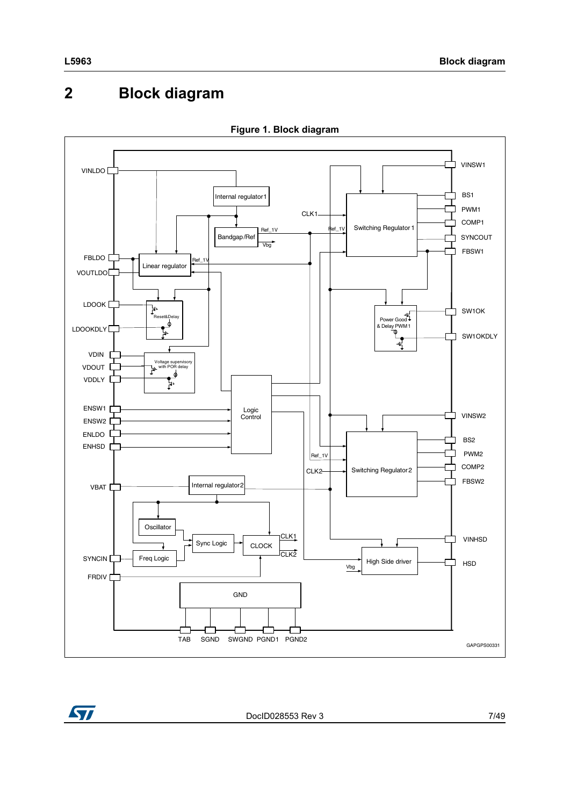# <span id="page-6-0"></span>**2 Block diagram**

<span id="page-6-1"></span>



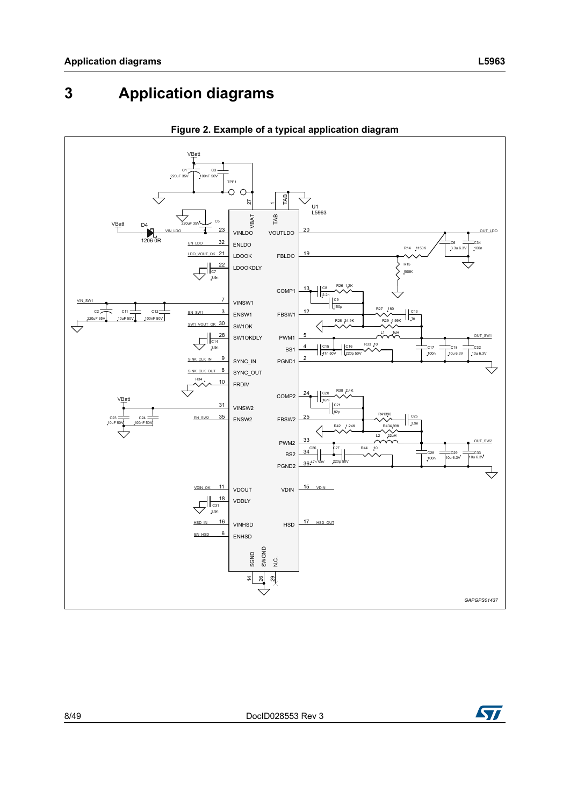# <span id="page-7-0"></span>**3 Application diagrams**

<span id="page-7-1"></span>



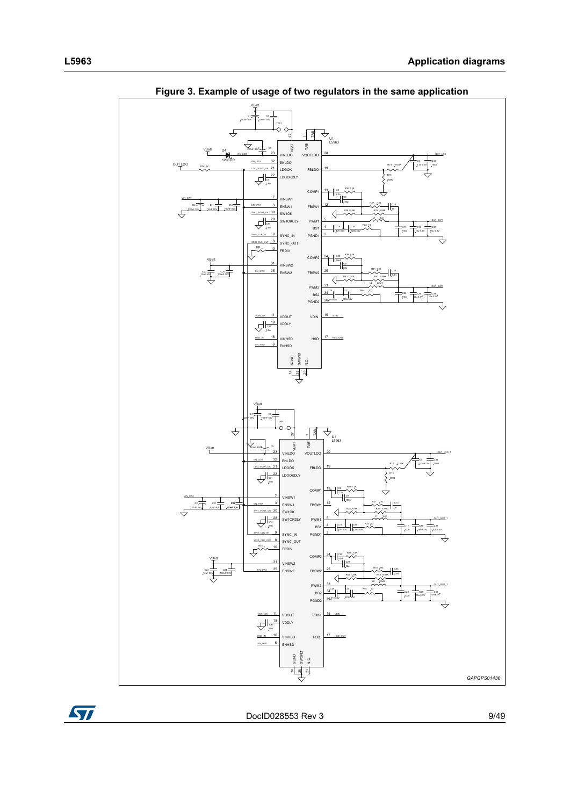<span id="page-8-0"></span>

**Figure 3. Example of usage of two regulators in the same application**

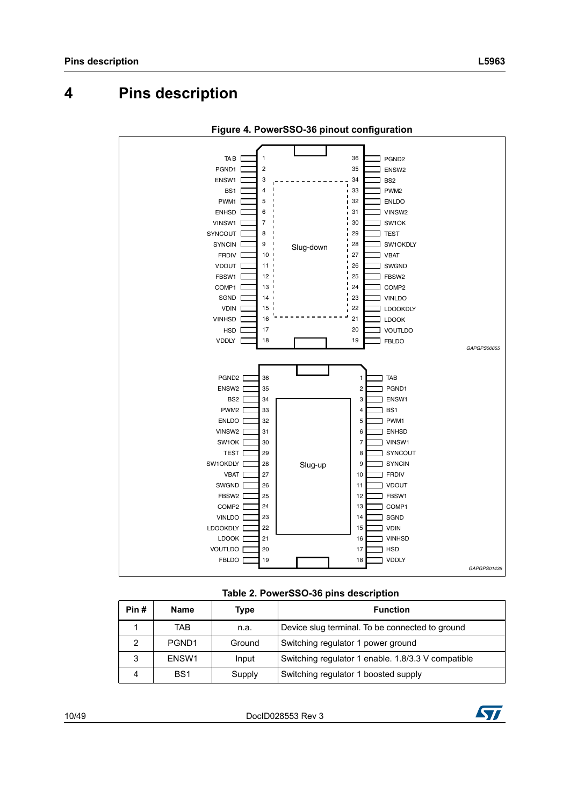# <span id="page-9-0"></span>**4 Pins description**

<span id="page-9-2"></span>



<span id="page-9-1"></span>

| Pin#          | <b>Name</b>       | Type   | <b>Function</b>                                    |
|---------------|-------------------|--------|----------------------------------------------------|
|               | TAB               | n.a.   | Device slug terminal. To be connected to ground    |
| $\mathcal{P}$ | PGND <sub>1</sub> | Ground | Switching regulator 1 power ground                 |
| 3             | ENSW1             | Input  | Switching regulator 1 enable. 1.8/3.3 V compatible |
| Δ             | BS <sub>1</sub>   | Supply | Switching regulator 1 boosted supply               |

1[0/49](#page-48-0) DocID028553 Rev 3

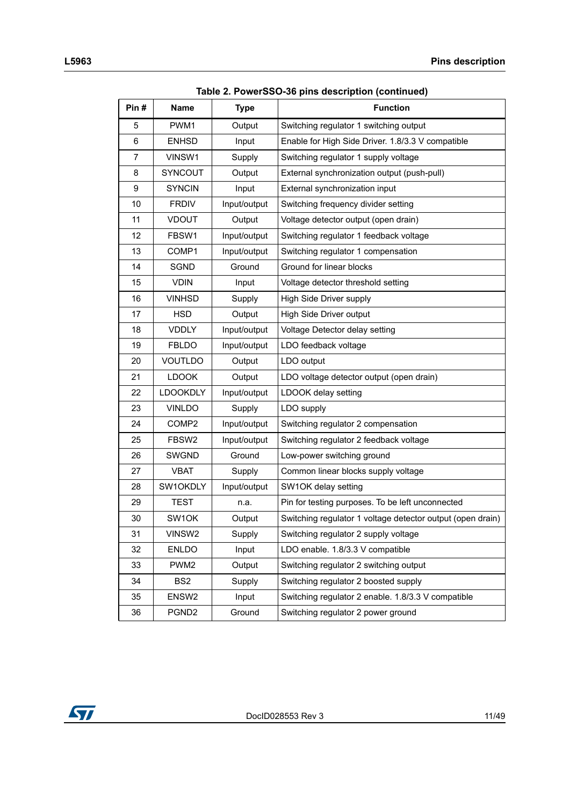| rable 2. PowerSSO-36 pins description (continued) |                    |              |                                                            |
|---------------------------------------------------|--------------------|--------------|------------------------------------------------------------|
| Pin#                                              | <b>Name</b>        | <b>Type</b>  | <b>Function</b>                                            |
| 5                                                 | PWM1               | Output       | Switching regulator 1 switching output                     |
| 6                                                 | <b>ENHSD</b>       | Input        | Enable for High Side Driver. 1.8/3.3 V compatible          |
| $\overline{7}$                                    | VINSW1             | Supply       | Switching regulator 1 supply voltage                       |
| 8                                                 | <b>SYNCOUT</b>     | Output       | External synchronization output (push-pull)                |
| 9                                                 | <b>SYNCIN</b>      | Input        | External synchronization input                             |
| 10                                                | <b>FRDIV</b>       | Input/output | Switching frequency divider setting                        |
| 11                                                | <b>VDOUT</b>       | Output       | Voltage detector output (open drain)                       |
| 12                                                | FBSW1              | Input/output | Switching regulator 1 feedback voltage                     |
| 13                                                | COMP1              | Input/output | Switching regulator 1 compensation                         |
| 14                                                | <b>SGND</b>        | Ground       | Ground for linear blocks                                   |
| 15                                                | <b>VDIN</b>        | Input        | Voltage detector threshold setting                         |
| 16                                                | <b>VINHSD</b>      | Supply       | High Side Driver supply                                    |
| 17                                                | <b>HSD</b>         | Output       | High Side Driver output                                    |
| 18                                                | <b>VDDLY</b>       | Input/output | Voltage Detector delay setting                             |
| 19                                                | <b>FBLDO</b>       | Input/output | LDO feedback voltage                                       |
| 20                                                | <b>VOUTLDO</b>     | Output       | LDO output                                                 |
| 21                                                | <b>LDOOK</b>       | Output       | LDO voltage detector output (open drain)                   |
| 22                                                | <b>LDOOKDLY</b>    | Input/output | LDOOK delay setting                                        |
| 23                                                | <b>VINLDO</b>      | Supply       | LDO supply                                                 |
| 24                                                | COMP <sub>2</sub>  | Input/output | Switching regulator 2 compensation                         |
| 25                                                | FBSW2              | Input/output | Switching regulator 2 feedback voltage                     |
| 26                                                | <b>SWGND</b>       | Ground       | Low-power switching ground                                 |
| 27                                                | <b>VBAT</b>        | Supply       | Common linear blocks supply voltage                        |
| 28                                                | SW1OKDLY           | Input/output | SW1OK delay setting                                        |
| 29                                                | <b>TEST</b>        | n.a.         | Pin for testing purposes. To be left unconnected           |
| 30                                                | SW <sub>1</sub> OK | Output       | Switching regulator 1 voltage detector output (open drain) |
| 31                                                | VINSW2             | Supply       | Switching regulator 2 supply voltage                       |
| 32                                                | <b>ENLDO</b>       | Input        | LDO enable. 1.8/3.3 V compatible                           |
| 33                                                | PWM <sub>2</sub>   | Output       | Switching regulator 2 switching output                     |
| 34                                                | BS <sub>2</sub>    | Supply       | Switching regulator 2 boosted supply                       |
| 35                                                | ENSW <sub>2</sub>  | Input        | Switching regulator 2 enable. 1.8/3.3 V compatible         |
| 36                                                | PGND <sub>2</sub>  | Ground       | Switching regulator 2 power ground                         |

**Table 2. PowerSSO-36 pins description (continued)**

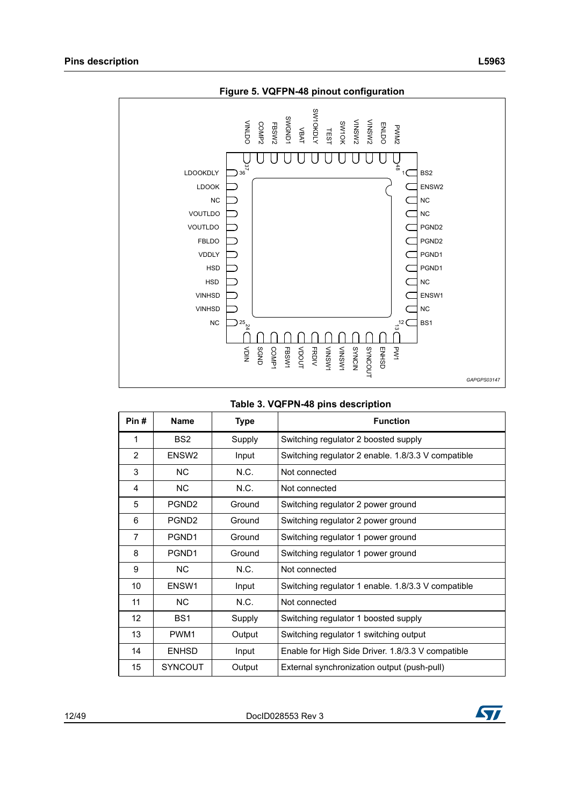<span id="page-11-1"></span>

<span id="page-11-0"></span>

|                | <b>LDOOKDLY</b>   | 37<br>36                            | ढे<br>BS <sub>2</sub>                                                                 |  |
|----------------|-------------------|-------------------------------------|---------------------------------------------------------------------------------------|--|
|                | <b>LDOOK</b>      |                                     | ENSW2                                                                                 |  |
|                |                   | NC.                                 | <b>NC</b>                                                                             |  |
| <b>VOUTLDO</b> |                   |                                     | <b>NC</b>                                                                             |  |
|                | <b>VOUTLDO</b>    |                                     | PGND <sub>2</sub>                                                                     |  |
|                | <b>FBLDO</b>      |                                     | PGND <sub>2</sub>                                                                     |  |
|                | <b>VDDLY</b>      |                                     | PGND1                                                                                 |  |
|                |                   | <b>HSD</b>                          | PGND1                                                                                 |  |
|                | <b>VINHSD</b>     | <b>HSD</b>                          | <b>NC</b><br>ENSW1                                                                    |  |
|                | <b>VINHSD</b>     |                                     | <b>NC</b>                                                                             |  |
|                |                   | $^{25}$ $\frac{2}{4}$<br>NC.        | $a^{12}$<br>BS <sub>1</sub>                                                           |  |
|                |                   |                                     |                                                                                       |  |
|                |                   | COMP <sup>-</sup><br>$\leq$<br>SGND | <b>PW1</b>                                                                            |  |
|                |                   |                                     | MSNIA<br>MSNIA<br>NIONAS<br>SYNCOUT<br>FRDIV<br>VDOUT<br><b>ENHSD</b><br><b>FBSW1</b> |  |
|                |                   |                                     | GAPGPS03147                                                                           |  |
|                |                   |                                     |                                                                                       |  |
|                |                   |                                     | Table 3. VQFPN-48 pins description                                                    |  |
| Pin#           | Name              | <b>Type</b>                         | <b>Function</b>                                                                       |  |
|                |                   |                                     |                                                                                       |  |
| 1              | BS <sub>2</sub>   | Supply                              | Switching regulator 2 boosted supply                                                  |  |
| $\overline{2}$ | ENSW <sub>2</sub> | Input                               | Switching regulator 2 enable. 1.8/3.3 V compatible                                    |  |
| 3              | <b>NC</b>         | N.C.                                | Not connected                                                                         |  |
| 4              | <b>NC</b>         | N.C.                                | Not connected                                                                         |  |
| 5              | PGND <sub>2</sub> | Ground                              | Switching regulator 2 power ground                                                    |  |
| 6              | PGND <sub>2</sub> | Ground                              | Switching regulator 2 power ground                                                    |  |
| $\overline{7}$ | PGND1             | Ground                              | Switching regulator 1 power ground                                                    |  |
| 8              | PGND1             | Ground                              | Switching regulator 1 power ground                                                    |  |
| 9              | <b>NC</b>         | N.C.                                | Not connected                                                                         |  |
| 10             | ENSW1             | Input                               | Switching regulator 1 enable. 1.8/3.3 V compatible                                    |  |
| 11             | <b>NC</b>         | N.C.                                | Not connected                                                                         |  |
| 12             | BS1               | Supply                              | Switching regulator 1 boosted supply                                                  |  |
| 13             | PWM1              | Output                              | Switching regulator 1 switching output                                                |  |
| 14             | <b>ENHSD</b>      | Input                               | Enable for High Side Driver. 1.8/3.3 V compatible                                     |  |

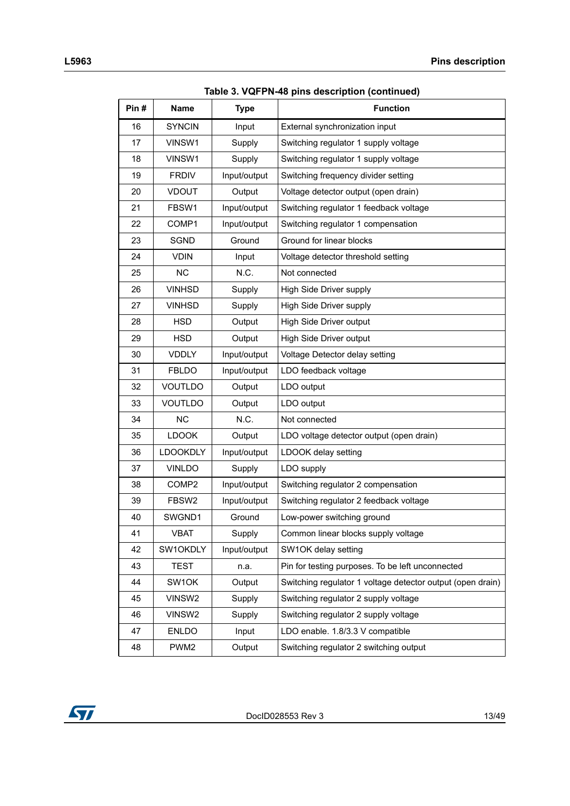| Pin# | <b>Name</b>       | <b>Type</b>  | Table 3. VQFPN-48 pins description (continued)<br><b>Function</b> |
|------|-------------------|--------------|-------------------------------------------------------------------|
| 16   | <b>SYNCIN</b>     | Input        | External synchronization input                                    |
| 17   | VINSW1            | Supply       | Switching regulator 1 supply voltage                              |
| 18   | VINSW1            | Supply       | Switching regulator 1 supply voltage                              |
| 19   | <b>FRDIV</b>      | Input/output | Switching frequency divider setting                               |
| 20   | <b>VDOUT</b>      | Output       | Voltage detector output (open drain)                              |
| 21   | FBSW1             | Input/output | Switching regulator 1 feedback voltage                            |
| 22   | COMP1             | Input/output | Switching regulator 1 compensation                                |
| 23   | SGND              | Ground       | Ground for linear blocks                                          |
| 24   | <b>VDIN</b>       | Input        | Voltage detector threshold setting                                |
| 25   | <b>NC</b>         | N.C.         | Not connected                                                     |
| 26   | <b>VINHSD</b>     | Supply       | High Side Driver supply                                           |
| 27   | <b>VINHSD</b>     | Supply       | High Side Driver supply                                           |
| 28   | <b>HSD</b>        | Output       | High Side Driver output                                           |
| 29   | <b>HSD</b>        | Output       | High Side Driver output                                           |
| 30   | <b>VDDLY</b>      | Input/output | Voltage Detector delay setting                                    |
| 31   | <b>FBLDO</b>      | Input/output | LDO feedback voltage                                              |
| 32   | <b>VOUTLDO</b>    | Output       | LDO output                                                        |
| 33   | <b>VOUTLDO</b>    | Output       | LDO output                                                        |
| 34   | <b>NC</b>         | N.C.         | Not connected                                                     |
| 35   | <b>LDOOK</b>      | Output       | LDO voltage detector output (open drain)                          |
| 36   | <b>LDOOKDLY</b>   | Input/output | LDOOK delay setting                                               |
| 37   | <b>VINLDO</b>     | Supply       | LDO supply                                                        |
| 38   | COMP <sub>2</sub> | Input/output | Switching regulator 2 compensation                                |
| 39   | FBSW2             | Input/output | Switching regulator 2 feedback voltage                            |
| 40   | SWGND1            | Ground       | Low-power switching ground                                        |
| 41   | <b>VBAT</b>       | Supply       | Common linear blocks supply voltage                               |
| 42   | SW1OKDLY          | Input/output | SW1OK delay setting                                               |
| 43   | <b>TEST</b>       | n.a.         | Pin for testing purposes. To be left unconnected                  |
| 44   | SW1OK             | Output       | Switching regulator 1 voltage detector output (open drain)        |
| 45   | VINSW2            | Supply       | Switching regulator 2 supply voltage                              |
| 46   | VINSW2            | Supply       | Switching regulator 2 supply voltage                              |
| 47   | <b>ENLDO</b>      | Input        | LDO enable. 1.8/3.3 V compatible                                  |
| 48   | PWM <sub>2</sub>  | Output       | Switching regulator 2 switching output                            |

**Table 3. VQFPN-48 pins description (continued)**

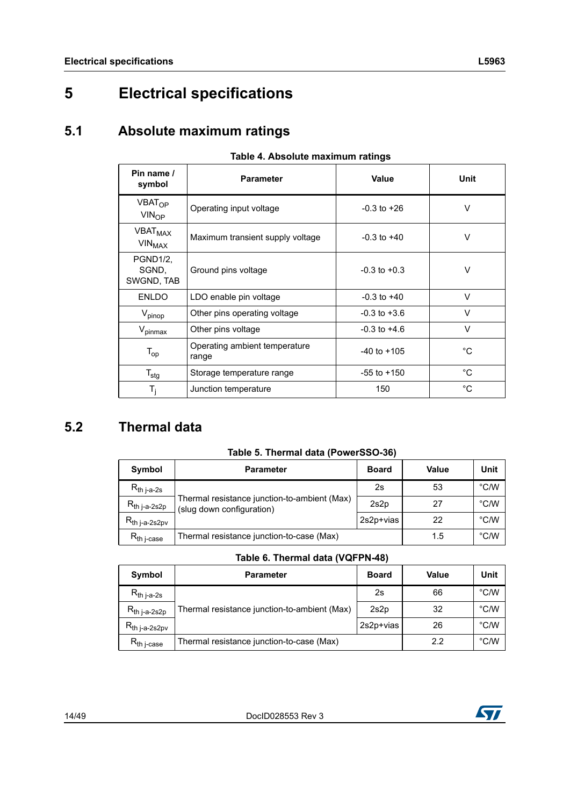# <span id="page-13-0"></span>**5 Electrical specifications**

# <span id="page-13-1"></span>**5.1 Absolute maximum ratings**

<span id="page-13-3"></span>

| awio -n / woonato maximami ratingo                    |                                        |                  |             |  |  |  |
|-------------------------------------------------------|----------------------------------------|------------------|-------------|--|--|--|
| Pin name /<br>symbol                                  | Value<br><b>Parameter</b>              |                  | <b>Unit</b> |  |  |  |
| VBAT <sub>OP</sub><br>$VIN_{OP}$                      | Operating input voltage                | $-0.3$ to $+26$  | V           |  |  |  |
| <b>VBAT<sub>MAX</sub></b><br><b>VIN<sub>MAX</sub></b> | Maximum transient supply voltage       | $-0.3$ to $+40$  | V           |  |  |  |
| PGND1/2,<br>SGND.<br>SWGND, TAB                       | Ground pins voltage                    | $-0.3$ to $+0.3$ | V           |  |  |  |
| <b>ENLDO</b>                                          | LDO enable pin voltage                 | $-0.3$ to $+40$  | $\vee$      |  |  |  |
| $V_{\text{pinop}}$                                    | Other pins operating voltage           | $-0.3$ to $+3.6$ | V           |  |  |  |
| $V_{\text{pinnax}}$                                   | Other pins voltage                     | $-0.3$ to $+4.6$ | V           |  |  |  |
| $T_{op}$                                              | Operating ambient temperature<br>range | $-40$ to $+105$  | °C          |  |  |  |
| $T_{\text{stg}}$                                      | Storage temperature range              | $-55$ to $+150$  | °C          |  |  |  |
| $T_i$                                                 | Junction temperature                   | 150              | °C          |  |  |  |

#### **Table 4. Absolute maximum ratings**

# <span id="page-13-2"></span>**5.2 Thermal data**

|  |  |  | Table 5. Thermal data (PowerSSO-36) |
|--|--|--|-------------------------------------|
|--|--|--|-------------------------------------|

<span id="page-13-4"></span>

| Symbol                    | <b>Parameter</b>                                                          | <b>Board</b> | <b>Value</b> | Unit |
|---------------------------|---------------------------------------------------------------------------|--------------|--------------|------|
| $R_{th\,$ j-a-2s          |                                                                           | 2s           | 53           | °C/W |
| R <sub>th j-a-2s2p</sub>  | Thermal resistance junction-to-ambient (Max)<br>(slug down configuration) | 2s2p         | 27           | °C/W |
| R <sub>th j-a-2s2pv</sub> |                                                                           | 2s2p+vias    | 22           | °C/W |
| $R_{th\ i\text{-case}}$   | Thermal resistance junction-to-case (Max)                                 | 1.5          | °C/W         |      |

#### **Table 6. Thermal data (VQFPN-48)**

<span id="page-13-5"></span>

| Symbol                    | <b>Parameter</b>                             | <b>Board</b> | Value | Unit |
|---------------------------|----------------------------------------------|--------------|-------|------|
| $R_{th\ j-a-2s}$          |                                              | 2s           | 66    | °C/W |
| $R_{th\,$ j-a-2s2p        | Thermal resistance junction-to-ambient (Max) | 2s2p         | 32    | °C/W |
| R <sub>th j-a-2s2pv</sub> |                                              | 2s2p+vias    | 26    | °C/W |
| $R_{th\ i\text{-case}}$   | Thermal resistance junction-to-case (Max)    | 2.2          | °C/W  |      |

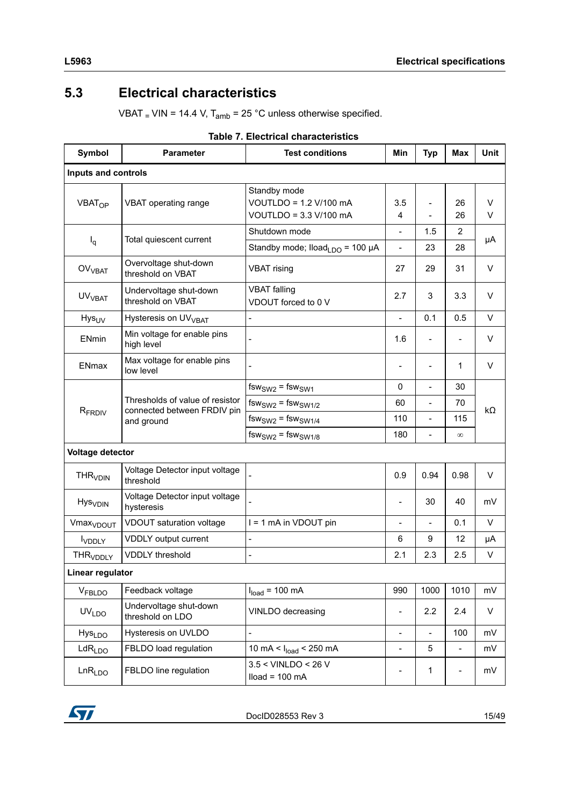# <span id="page-14-0"></span>**5.3 Electrical characteristics**

VBAT  $_$  VIN = 14.4 V, T<sub>amb</sub> = 25 °C unless otherwise specified.

<span id="page-14-1"></span>

| Symbol                     | <b>Parameter</b>                                                             | <b>Test conditions</b>                                           | Min                      | <b>Typ</b>               | <b>Max</b>     | Unit      |  |
|----------------------------|------------------------------------------------------------------------------|------------------------------------------------------------------|--------------------------|--------------------------|----------------|-----------|--|
| Inputs and controls        |                                                                              |                                                                  |                          |                          |                |           |  |
| <b>VBAT<sub>OP</sub></b>   | VBAT operating range                                                         | Standby mode<br>VOUTLDO = 1.2 V/100 mA<br>VOUTLDO = 3.3 V/100 mA | 3.5<br>$\overline{4}$    | $\overline{\phantom{0}}$ | 26<br>26       | V<br>V    |  |
|                            | Total quiescent current                                                      | Shutdown mode                                                    | $\overline{\phantom{a}}$ | 1.5                      | $\overline{2}$ |           |  |
| $I_q$                      |                                                                              | Standby mode; $Iload_{LDO} = 100 \mu A$                          | $\overline{a}$           | 23                       | 28             | μA        |  |
| OV <sub>VBAT</sub>         | Overvoltage shut-down<br>threshold on VBAT                                   | <b>VBAT</b> rising                                               | 27                       | 29                       | 31             | $\vee$    |  |
| UV <sub>VBAT</sub>         | Undervoltage shut-down<br>threshold on VBAT                                  | <b>VBAT</b> falling<br>VDOUT forced to 0 V                       | 2.7                      | 3                        | 3.3            | V         |  |
| Hys <sub>UV</sub>          | Hysteresis on UV <sub>VBAT</sub>                                             | $\overline{a}$                                                   | $\overline{\phantom{a}}$ | 0.1                      | 0.5            | V         |  |
| ENmin                      | Min voltage for enable pins<br>high level                                    |                                                                  | 1.6                      |                          |                | $\vee$    |  |
| <b>ENmax</b>               | Max voltage for enable pins<br>low level                                     |                                                                  | $\overline{\phantom{0}}$ |                          | 1              | V         |  |
|                            |                                                                              | $fsw_{SW2} = fsw_{SW1}$                                          | 0                        | $\blacksquare$           | 30             |           |  |
|                            | Thresholds of value of resistor<br>connected between FRDIV pin<br>and ground | $fsw_{SW2} = fsw_{SW1/2}$                                        | 60                       | $\blacksquare$           | 70             | $k\Omega$ |  |
| R <sub>FRDIV</sub>         |                                                                              | $fsw_{SW2}$ = $fsw_{SW1/4}$                                      | 110                      | $\overline{a}$           | 115            |           |  |
|                            |                                                                              | $fsw_{SW2} = fsw_{SW1/8}$                                        | 180                      | $\overline{\phantom{a}}$ | $\infty$       |           |  |
| Voltage detector           |                                                                              |                                                                  |                          |                          |                |           |  |
| <b>THR<sub>VDIN</sub></b>  | Voltage Detector input voltage<br>threshold                                  |                                                                  | 0.9                      | 0.94                     | 0.98           | V         |  |
| <b>Hys</b> <sub>VDIN</sub> | Voltage Detector input voltage<br>hysteresis                                 |                                                                  | $\overline{\phantom{a}}$ | 30                       | 40             | mV        |  |
| Vmax <sub>VDOUT</sub>      | VDOUT saturation voltage                                                     | I = 1 mA in VDOUT pin                                            |                          |                          | 0.1            | V         |  |
| <b>I</b> VDDLY             | VDDLY output current                                                         | $\overline{a}$                                                   | 6                        | 9                        | 12             | μA        |  |
| <b>THR<sub>VDDLY</sub></b> | <b>VDDLY</b> threshold                                                       | $\overline{a}$                                                   | 2.1                      | 2.3                      | 2.5            | V         |  |
| Linear regulator           |                                                                              |                                                                  |                          |                          |                |           |  |
| VFBLDO                     | Feedback voltage                                                             | $Iload = 100 mA$                                                 | 990                      | 1000                     | 1010           | mV        |  |
| <b>UVLDO</b>               | Undervoltage shut-down<br>threshold on LDO                                   | VINLDO decreasing                                                | $\overline{\phantom{0}}$ | 2.2                      | 2.4            | V         |  |
| Hys <sub>LDO</sub>         | Hysteresis on UVLDO                                                          | $\overline{a}$                                                   | $\overline{\phantom{a}}$ | $\overline{\phantom{a}}$ | 100            | mV        |  |
| LdR <sub>LDO</sub>         | FBLDO load regulation                                                        | 10 mA < $I_{load}$ < 250 mA                                      |                          | 5                        | $\overline{a}$ | mV        |  |
| LnR <sub>LDO</sub>         | FBLDO line regulation                                                        | $3.5 <$ VINLDO < 26 V<br>$Iload = 100 mA$                        |                          | 1                        |                | mV        |  |

#### **Table 7. Electrical characteristics**

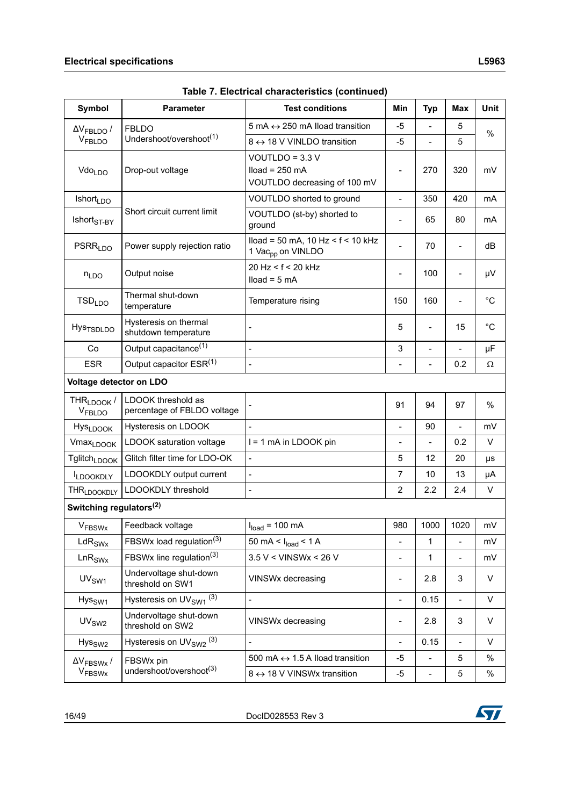| Symbol                                       | <b>Parameter</b>                                                  | <b>Test conditions</b>                                                  | Min                      | <b>Typ</b>               | <b>Max</b>               | <b>Unit</b>  |
|----------------------------------------------|-------------------------------------------------------------------|-------------------------------------------------------------------------|--------------------------|--------------------------|--------------------------|--------------|
| $\Delta V_{\text{FBLDO}}$ /                  | <b>FBLDO</b>                                                      | 5 mA $\leftrightarrow$ 250 mA Iload transition                          | $-5$                     |                          | 5                        | %            |
| VFBLDO                                       | Undershoot/overshoot <sup>(1)</sup><br>8 ↔ 18 V VINLDO transition |                                                                         | $-5$                     | $\overline{\phantom{0}}$ | 5                        |              |
| Vdo <sub>LDO</sub>                           | Drop-out voltage                                                  | VOUTLDO = $3.3$ V<br>$Iload = 250 mA$<br>VOUTLDO decreasing of 100 mV   | $\blacksquare$           | 270                      | 320                      | mV           |
| <b>Ishort</b> <sub>LDO</sub>                 |                                                                   | VOUTLDO shorted to ground                                               | $\overline{\phantom{a}}$ | 350                      | 420                      | mA           |
| $\mathsf{Ishort}_{\mathsf{ST-BY}}$           | Short circuit current limit                                       | VOUTLDO (st-by) shorted to<br>ground                                    |                          | 65                       | 80                       | mA           |
| <b>PSRR<sub>LDO</sub></b>                    | Power supply rejection ratio                                      | $Iload = 50 mA$ , 10 Hz < $f$ < 10 kHz<br>1 Vac <sub>pp</sub> on VINLDO |                          | 70                       |                          | dB           |
| $n_{LDO}$                                    | Output noise                                                      | 20 Hz < f < 20 kHz<br>$Iload = 5 mA$                                    | $\blacksquare$           | 100                      | $\overline{a}$           | μV           |
| TSD <sub>LDO</sub>                           | Thermal shut-down<br>temperature                                  | Temperature rising                                                      | 150                      | 160                      | $\overline{a}$           | $^{\circ}C$  |
| <b>Hys<sub>TSDLDO</sub></b>                  | Hysteresis on thermal<br>shutdown temperature                     |                                                                         | 5                        | $\blacksquare$           | 15                       | $^{\circ}$ C |
| Co                                           | Output capacitance <sup>(1)</sup>                                 | $\overline{a}$                                                          | 3                        | $\overline{a}$           | $\overline{a}$           | μF           |
| <b>ESR</b>                                   | Output capacitor ESR(1)                                           | $\overline{a}$                                                          | $\overline{\phantom{a}}$ | $\overline{\phantom{0}}$ | 0.2                      | Ω            |
| Voltage detector on LDO                      |                                                                   |                                                                         |                          |                          |                          |              |
| THR <sub>LDOOK</sub> /<br>V <sub>FBLDO</sub> | LDOOK threshold as<br>percentage of FBLDO voltage                 |                                                                         | 91                       | 94                       | 97                       | %            |
| <b>HysLDOOK</b>                              | Hysteresis on LDOOK                                               | $\overline{a}$                                                          | $\overline{\phantom{a}}$ | 90                       | $\overline{a}$           | mV           |
| <b>VmaxLDOOK</b>                             | LDOOK saturation voltage                                          | I = 1 mA in LDOOK pin                                                   | $\blacksquare$           | $\overline{a}$           | 0.2                      | V            |
| Tglitch <sub>LDOOK</sub>                     | Glitch filter time for LDO-OK                                     | $\overline{a}$                                                          | 5                        | 12                       | 20                       | μs           |
| <b>ILDOOKDLY</b>                             | LDOOKDLY output current                                           | $\overline{a}$                                                          | $\overline{7}$           | 10                       | 13                       | μA           |
| THR <sub>LDOOKDLY</sub>                      | LDOOKDLY threshold                                                | $\overline{a}$                                                          | $\overline{c}$           | 2.2                      | 2.4                      | V            |
| Switching regulators <sup>(2)</sup>          |                                                                   |                                                                         |                          |                          |                          |              |
| <b>VFBSWx</b>                                | Feedback voltage                                                  | $Iload = 100 mA$                                                        | 980                      | 1000                     | 1020                     | mV           |
| $\text{LdR}_{\text{SWx}}$                    | FBSWx load regulation <sup>(3)</sup>                              | 50 mA < $I_{load}$ < 1 A                                                | $\overline{\phantom{a}}$ | 1                        | $\overline{\phantom{0}}$ | mV           |
| LnR <sub>SWx</sub>                           | FBSWx line regulation <sup>(3)</sup>                              | $3.5$ V < VINSWx < 26 V                                                 |                          | 1                        | $\overline{\phantom{0}}$ | mV           |
| UV <sub>SW1</sub>                            | Undervoltage shut-down<br>threshold on SW1                        | VINSWx decreasing                                                       | $\overline{\phantom{a}}$ | 2.8                      | 3                        | V            |
| Hys <sub>SW1</sub>                           | Hysteresis on $UV_{SW1}$ <sup>(3)</sup>                           | $\overline{a}$                                                          | $\blacksquare$           | 0.15                     | $\overline{\phantom{0}}$ | V            |
| UV <sub>SW2</sub>                            | Undervoltage shut-down<br>threshold on SW2                        | VINSWx decreasing                                                       | $\overline{\phantom{a}}$ | 2.8                      | 3                        | V            |
| Hys <sub>SW2</sub>                           | Hysteresis on UV <sub>SW2</sub> <sup>(3)</sup>                    | $\overline{a}$                                                          | $\blacksquare$           | 0.15                     | $\overline{a}$           | V            |
| $\Delta V_{\rm FBSWx}$ /                     | FBSWx pin                                                         | 500 mA $\leftrightarrow$ 1.5 A lload transition                         | -5                       | $\overline{\phantom{0}}$ | 5                        | %            |
| <b>V<sub>FBSWx</sub></b>                     | undershoot/overshoot <sup>(3)</sup>                               | 8 ↔ 18 V VINSWx transition                                              | $-5$                     | $\overline{\phantom{a}}$ | 5                        | %            |

**Table 7. Electrical characteristics (continued)**

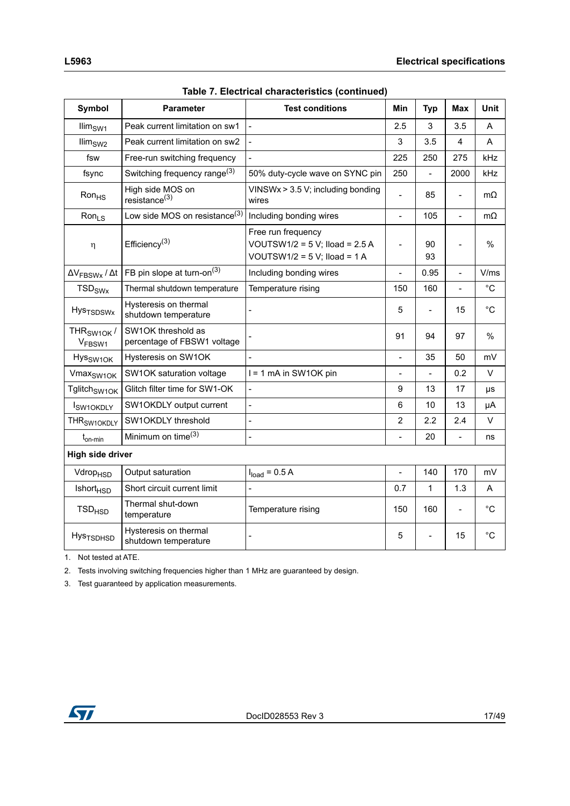| avic 7. Electrical characteristics (continued |                                                   |                                                                                              |                              |                          |                |              |  |
|-----------------------------------------------|---------------------------------------------------|----------------------------------------------------------------------------------------------|------------------------------|--------------------------|----------------|--------------|--|
| Symbol                                        | <b>Parameter</b>                                  | <b>Test conditions</b>                                                                       | Min                          | <b>Typ</b>               | Max            | Unit         |  |
| $\lim_{SW1}$                                  | Peak current limitation on sw1                    | $\mathbf{r}$                                                                                 | 2.5                          | 3                        | 3.5            | A            |  |
| $\lim_{SW2}$                                  | Peak current limitation on sw2                    | $\overline{a}$                                                                               | 3                            | 3.5                      | 4              | A            |  |
| fsw                                           | Free-run switching frequency                      | $\overline{a}$                                                                               | 225                          | 250                      | 275            | kHz          |  |
| fsync                                         | Switching frequency range $(3)$                   | 50% duty-cycle wave on SYNC pin                                                              | 250                          | $\overline{a}$           | 2000           | kHz          |  |
| $R$ on $_{HS}$                                | High side MOS on<br>resistance <sup>(3)</sup>     | VINSWx $> 3.5$ V; including bonding<br>wires                                                 |                              | 85                       | L,             | $m\Omega$    |  |
| Ron <sub>LS</sub>                             | Low side MOS on resistance <sup>(3)</sup>         | Including bonding wires                                                                      | $\qquad \qquad \blacksquare$ | 105                      | $\blacksquare$ | $m\Omega$    |  |
| η                                             | Efficiency <sup>(3)</sup>                         | Free run frequency<br>VOUTSW1/2 = $5$ V; Iload = $2.5$ A<br>VOUTSW1/2 = $5$ V; Iload = $1$ A | $\overline{a}$               | 90<br>93                 | $\overline{a}$ | %            |  |
| $\Delta V_{\text{FBSWx}}$ / $\Delta t$        | FB pin slope at turn-on <sup>(3)</sup>            | Including bonding wires                                                                      | $\overline{a}$               | 0.95                     | $\overline{a}$ | V/ms         |  |
| <b>TSD<sub>SWx</sub></b>                      | Thermal shutdown temperature                      | Temperature rising                                                                           | 150                          | 160                      | $\frac{1}{2}$  | $^{\circ}$ C |  |
| <b>Hys<sub>TSDSWx</sub></b>                   | Hysteresis on thermal<br>shutdown temperature     |                                                                                              | 5                            |                          | 15             | $^{\circ}$ C |  |
| THR <sub>SW1OK</sub> /<br>V <sub>FBSW1</sub>  | SW1OK threshold as<br>percentage of FBSW1 voltage |                                                                                              | 91                           | 94                       | 97             | %            |  |
| Hys <sub>SW1OK</sub>                          | Hysteresis on SW1OK                               | $\overline{a}$                                                                               | $\overline{a}$               | 35                       | 50             | mV           |  |
| Vmax <sub>SW1OK</sub>                         | SW1OK saturation voltage                          | I = 1 mA in SW1OK pin                                                                        | $\overline{a}$               | $\overline{\phantom{0}}$ | 0.2            | V            |  |
| Tglitch <sub>SW1OK</sub>                      | Glitch filter time for SW1-OK                     |                                                                                              | 9                            | 13                       | 17             | μs           |  |
| SW <sub>1</sub> OKDLY                         | SW1OKDLY output current                           | $\frac{1}{2}$                                                                                | 6                            | 10                       | 13             | μA           |  |
| THR <sub>SW1OKDLY</sub>                       | SW1OKDLY threshold                                | $\overline{a}$                                                                               | $\overline{2}$               | 2.2                      | 2.4            | V            |  |
| $t_{on-min}$                                  | Minimum on time <sup>(3)</sup>                    |                                                                                              |                              | 20                       | $\overline{a}$ | ns           |  |
| <b>High side driver</b>                       |                                                   |                                                                                              |                              |                          |                |              |  |
| Vdrop <sub>HSD</sub>                          | Output saturation                                 | $Iload = 0.5 A$                                                                              | $\overline{a}$               | 140                      | 170            | mV           |  |
| <b>Ishort<sub>HSD</sub></b>                   | Short circuit current limit                       |                                                                                              | 0.7                          | 1                        | 1.3            | Α            |  |
| <b>TSD<sub>HSD</sub></b>                      | Thermal shut-down<br>temperature                  | Temperature rising                                                                           | 150                          | 160                      |                | °C           |  |
| Hys <sub>TSDHSD</sub>                         | Hysteresis on thermal<br>shutdown temperature     |                                                                                              | 5                            |                          | 15             | $^{\circ}C$  |  |

| Table 7. Electrical characteristics (continued) |  |
|-------------------------------------------------|--|
|-------------------------------------------------|--|

<span id="page-16-0"></span>1. Not tested at ATE.

2. Tests involving switching frequencies higher than 1 MHz are guaranteed by design.

<span id="page-16-1"></span>3. Test guaranteed by application measurements.

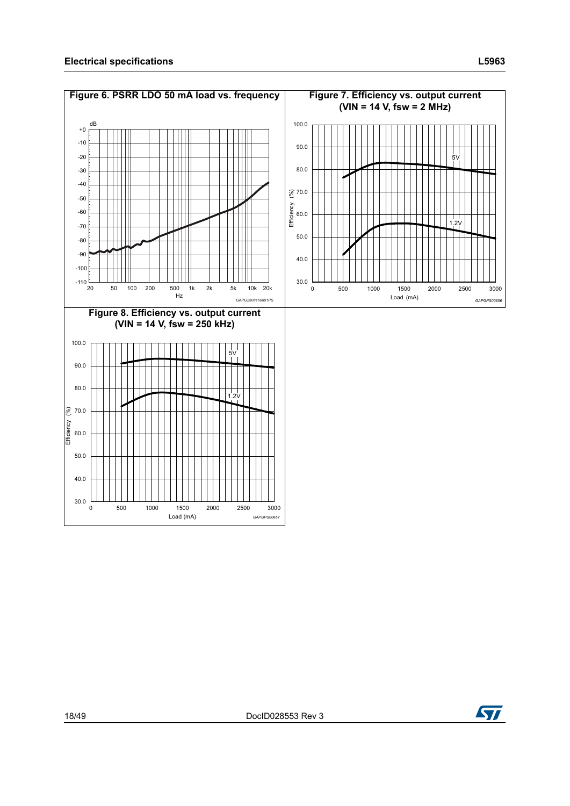<span id="page-17-2"></span><span id="page-17-1"></span><span id="page-17-0"></span>

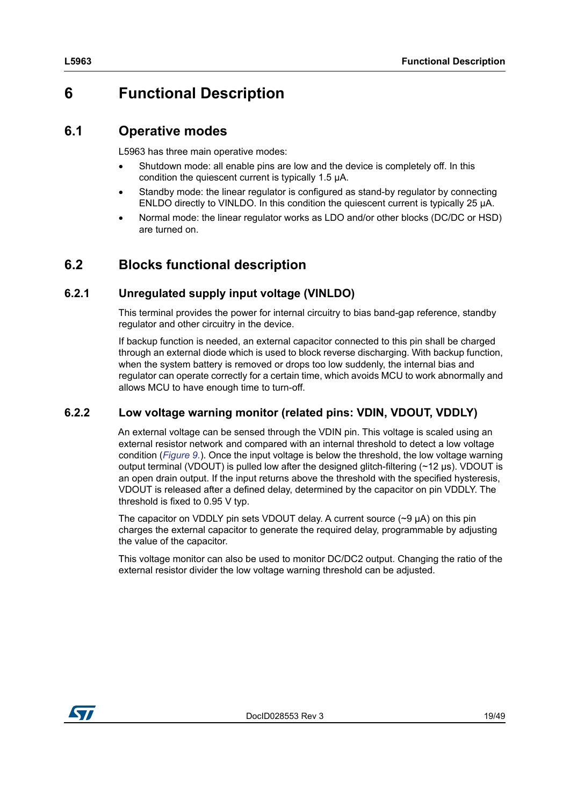# <span id="page-18-0"></span>**6 Functional Description**

### <span id="page-18-1"></span>**6.1 Operative modes**

L5963 has three main operative modes:

- Shutdown mode: all enable pins are low and the device is completely off. In this condition the quiescent current is typically 1.5 μA.
- Standby mode: the linear regulator is configured as stand-by regulator by connecting ENLDO directly to VINLDO. In this condition the quiescent current is typically 25 μA.
- Normal mode: the linear regulator works as LDO and/or other blocks (DC/DC or HSD) are turned on.

### <span id="page-18-2"></span>**6.2 Blocks functional description**

### <span id="page-18-3"></span>**6.2.1 Unregulated supply input voltage (VINLDO)**

This terminal provides the power for internal circuitry to bias band-gap reference, standby regulator and other circuitry in the device.

If backup function is needed, an external capacitor connected to this pin shall be charged through an external diode which is used to block reverse discharging. With backup function, when the system battery is removed or drops too low suddenly, the internal bias and regulator can operate correctly for a certain time, which avoids MCU to work abnormally and allows MCU to have enough time to turn-off.

### <span id="page-18-4"></span>**6.2.2 Low voltage warning monitor (related pins: VDIN, VDOUT, VDDLY)**

An external voltage can be sensed through the VDIN pin. This voltage is scaled using an external resistor network and compared with an internal threshold to detect a low voltage condition (*[Figure 9.](#page-19-3)*). Once the input voltage is below the threshold, the low voltage warning output terminal (VDOUT) is pulled low after the designed glitch-filtering  $(\sim 12 \,\mu s)$ . VDOUT is an open drain output. If the input returns above the threshold with the specified hysteresis, VDOUT is released after a defined delay, determined by the capacitor on pin VDDLY. The threshold is fixed to 0.95 V typ.

The capacitor on VDDLY pin sets VDOUT delay. A current source  $(\sim 9 \mu A)$  on this pin charges the external capacitor to generate the required delay, programmable by adjusting the value of the capacitor.

This voltage monitor can also be used to monitor DC/DC2 output. Changing the ratio of the external resistor divider the low voltage warning threshold can be adjusted.

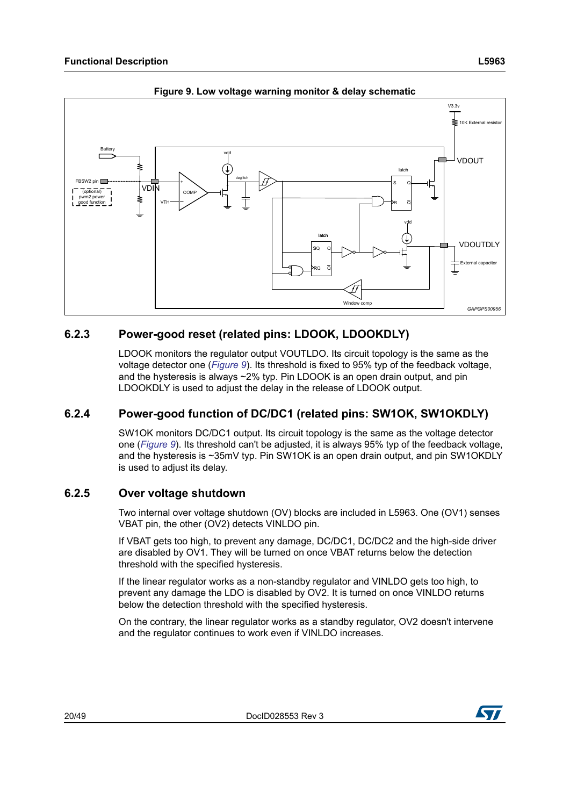<span id="page-19-3"></span>

**Figure 9. Low voltage warning monitor & delay schematic**

### <span id="page-19-0"></span>**6.2.3 Power-good reset (related pins: LDOOK, LDOOKDLY)**

LDOOK monitors the regulator output VOUTLDO. Its circuit topology is the same as the voltage detector one (*[Figure](#page-19-3) 9*). Its threshold is fixed to 95% typ of the feedback voltage, and the hysteresis is always ~2% typ. Pin LDOOK is an open drain output, and pin LDOOKDLY is used to adjust the delay in the release of LDOOK output.

### <span id="page-19-1"></span>**6.2.4 Power-good function of DC/DC1 (related pins: SW1OK, SW1OKDLY)**

SW1OK monitors DC/DC1 output. Its circuit topology is the same as the voltage detector one (*[Figure](#page-19-3) 9*). Its threshold can't be adjusted, it is always 95% typ of the feedback voltage, and the hysteresis is ~35mV typ. Pin SW1OK is an open drain output, and pin SW1OKDLY is used to adjust its delay.

### <span id="page-19-2"></span>**6.2.5 Over voltage shutdown**

Two internal over voltage shutdown (OV) blocks are included in L5963. One (OV1) senses VBAT pin, the other (OV2) detects VINLDO pin.

If VBAT gets too high, to prevent any damage, DC/DC1, DC/DC2 and the high-side driver are disabled by OV1. They will be turned on once VBAT returns below the detection threshold with the specified hysteresis.

If the linear regulator works as a non-standby regulator and VINLDO gets too high, to prevent any damage the LDO is disabled by OV2. It is turned on once VINLDO returns below the detection threshold with the specified hysteresis.

On the contrary, the linear regulator works as a standby regulator, OV2 doesn't intervene and the regulator continues to work even if VINLDO increases.

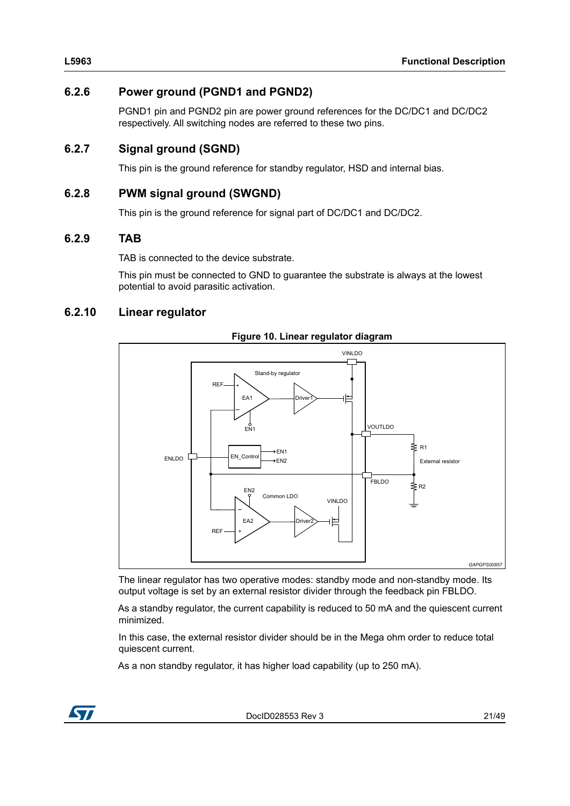### <span id="page-20-0"></span>**6.2.6 Power ground (PGND1 and PGND2)**

PGND1 pin and PGND2 pin are power ground references for the DC/DC1 and DC/DC2 respectively. All switching nodes are referred to these two pins.

### <span id="page-20-1"></span>**6.2.7 Signal ground (SGND)**

This pin is the ground reference for standby regulator, HSD and internal bias.

### <span id="page-20-2"></span>**6.2.8 PWM signal ground (SWGND)**

This pin is the ground reference for signal part of DC/DC1 and DC/DC2.

### <span id="page-20-3"></span>**6.2.9 TAB**

TAB is connected to the device substrate.

This pin must be connected to GND to guarantee the substrate is always at the lowest potential to avoid parasitic activation.

### <span id="page-20-4"></span>**6.2.10 Linear regulator**

<span id="page-20-5"></span>

**Figure 10. Linear regulator diagram** 

The linear regulator has two operative modes: standby mode and non-standby mode. Its output voltage is set by an external resistor divider through the feedback pin FBLDO.

As a standby regulator, the current capability is reduced to 50 mA and the quiescent current minimized.

In this case, the external resistor divider should be in the Mega ohm order to reduce total quiescent current.

As a non standby regulator, it has higher load capability (up to 250 mA).

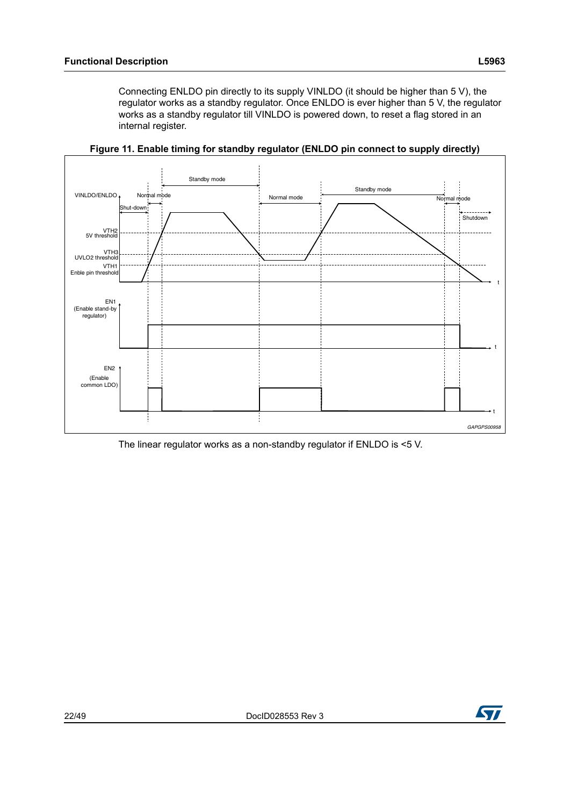Connecting ENLDO pin directly to its supply VINLDO (it should be higher than 5 V), the regulator works as a standby regulator. Once ENLDO is ever higher than 5 V, the regulator works as a standby regulator till VINLDO is powered down, to reset a flag stored in an internal register.

<span id="page-21-0"></span>

**Figure 11. Enable timing for standby regulator (ENLDO pin connect to supply directly)**

The linear regulator works as a non-standby regulator if ENLDO is <5 V.

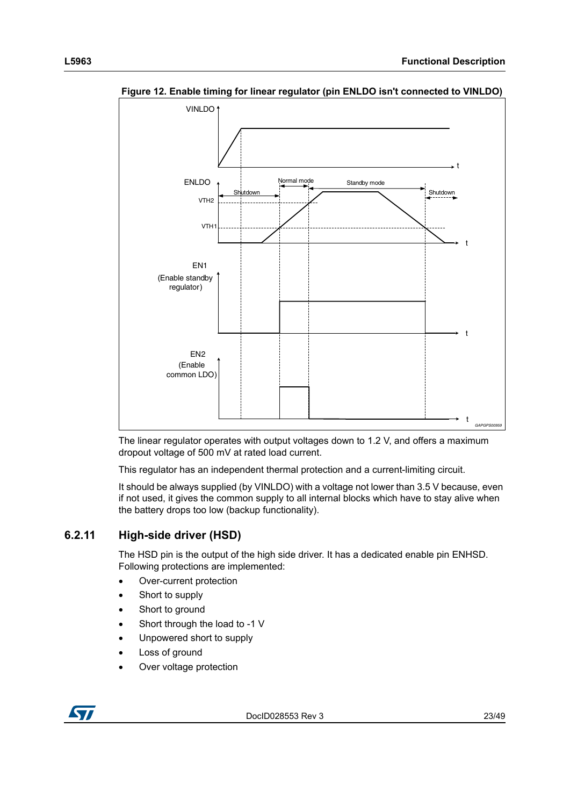

<span id="page-22-1"></span>**Figure 12. Enable timing for linear regulator (pin ENLDO isn't connected to VINLDO)**

The linear regulator operates with output voltages down to 1.2 V, and offers a maximum dropout voltage of 500 mV at rated load current.

This regulator has an independent thermal protection and a current-limiting circuit.

It should be always supplied (by VINLDO) with a voltage not lower than 3.5 V because, even if not used, it gives the common supply to all internal blocks which have to stay alive when the battery drops too low (backup functionality).

### <span id="page-22-0"></span>**6.2.11 High-side driver (HSD)**

The HSD pin is the output of the high side driver. It has a dedicated enable pin ENHSD. Following protections are implemented:

- Over-current protection
- Short to supply
- Short to ground
- Short through the load to -1 V
- Unpowered short to supply
- Loss of ground
- Over voltage protection

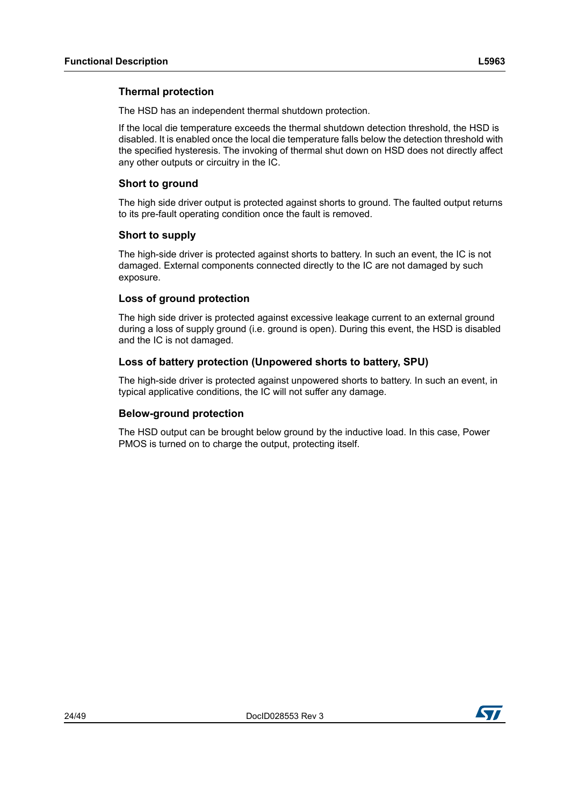### **Thermal protection**

The HSD has an independent thermal shutdown protection.

If the local die temperature exceeds the thermal shutdown detection threshold, the HSD is disabled. It is enabled once the local die temperature falls below the detection threshold with the specified hysteresis. The invoking of thermal shut down on HSD does not directly affect any other outputs or circuitry in the IC.

### **Short to ground**

The high side driver output is protected against shorts to ground. The faulted output returns to its pre-fault operating condition once the fault is removed.

### **Short to supply**

The high-side driver is protected against shorts to battery. In such an event, the IC is not damaged. External components connected directly to the IC are not damaged by such exposure.

### **Loss of ground protection**

The high side driver is protected against excessive leakage current to an external ground during a loss of supply ground (i.e. ground is open). During this event, the HSD is disabled and the IC is not damaged.

### **Loss of battery protection (Unpowered shorts to battery, SPU)**

The high-side driver is protected against unpowered shorts to battery. In such an event, in typical applicative conditions, the IC will not suffer any damage.

#### **Below-ground protection**

The HSD output can be brought below ground by the inductive load. In this case, Power PMOS is turned on to charge the output, protecting itself.

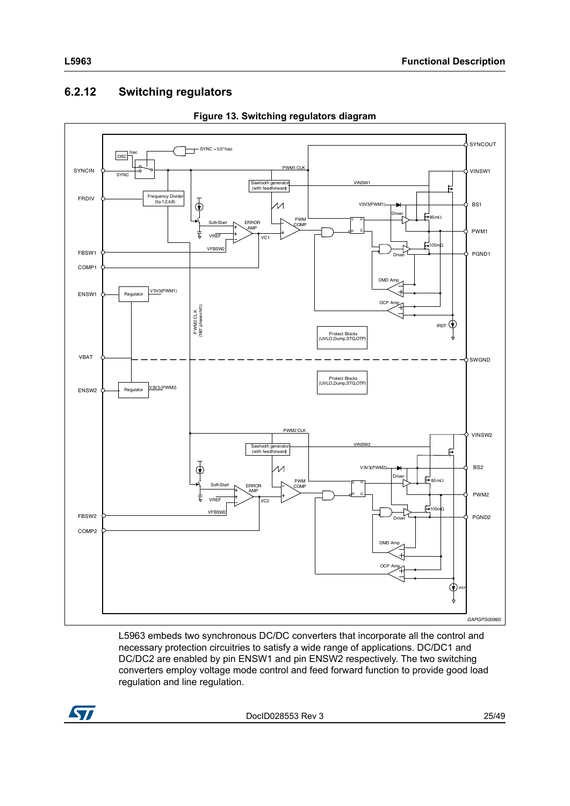## <span id="page-24-0"></span>**6.2.12 Switching regulators**

<span id="page-24-1"></span>

**Figure 13. Switching regulators diagram**

L5963 embeds two synchronous DC/DC converters that incorporate all the control and necessary protection circuitries to satisfy a wide range of applications. DC/DC1 and DC/DC2 are enabled by pin ENSW1 and pin ENSW2 respectively. The two switching converters employ voltage mode control and feed forward function to provide good load regulation and line regulation.



DocID028553 Rev 3 25/[49](#page-48-0)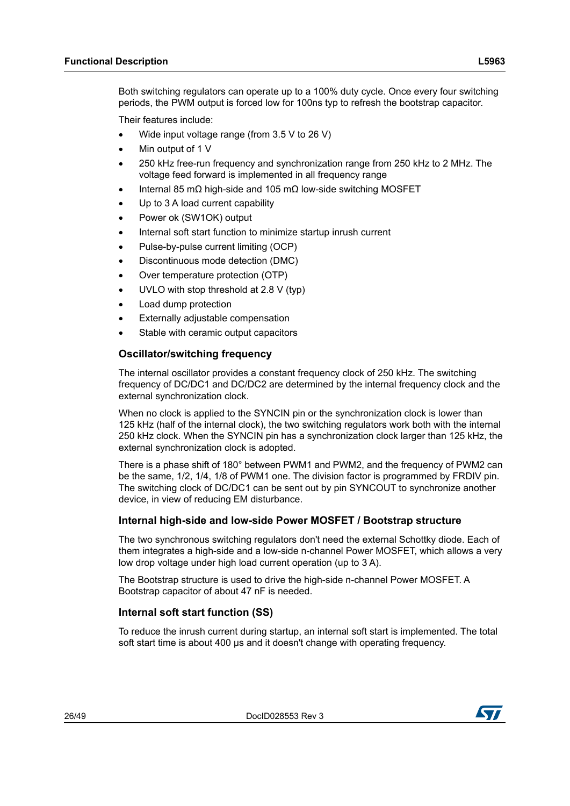Both switching regulators can operate up to a 100% duty cycle. Once every four switching periods, the PWM output is forced low for 100ns typ to refresh the bootstrap capacitor.

Their features include:

- Wide input voltage range (from 3.5 V to 26 V)
- Min output of 1 V
- 250 kHz free-run frequency and synchronization range from 250 kHz to 2 MHz. The voltage feed forward is implemented in all frequency range
- Internal 85 mΩ high-side and 105 mΩ low-side switching MOSFET
- Up to 3 A load current capability
- Power ok (SW1OK) output
- Internal soft start function to minimize startup inrush current
- Pulse-by-pulse current limiting (OCP)
- Discontinuous mode detection (DMC)
- Over temperature protection (OTP)
- UVLO with stop threshold at 2.8 V (typ)
- Load dump protection
- Externally adjustable compensation
- Stable with ceramic output capacitors

### **Oscillator/switching frequency**

The internal oscillator provides a constant frequency clock of 250 kHz. The switching frequency of DC/DC1 and DC/DC2 are determined by the internal frequency clock and the external synchronization clock.

When no clock is applied to the SYNCIN pin or the synchronization clock is lower than 125 kHz (half of the internal clock), the two switching regulators work both with the internal 250 kHz clock. When the SYNCIN pin has a synchronization clock larger than 125 kHz, the external synchronization clock is adopted.

There is a phase shift of 180° between PWM1 and PWM2, and the frequency of PWM2 can be the same, 1/2, 1/4, 1/8 of PWM1 one. The division factor is programmed by FRDIV pin. The switching clock of DC/DC1 can be sent out by pin SYNCOUT to synchronize another device, in view of reducing EM disturbance.

### **Internal high-side and low-side Power MOSFET / Bootstrap structure**

The two synchronous switching regulators don't need the external Schottky diode. Each of them integrates a high-side and a low-side n-channel Power MOSFET, which allows a very low drop voltage under high load current operation (up to 3 A).

The Bootstrap structure is used to drive the high-side n-channel Power MOSFET. A Bootstrap capacitor of about 47 nF is needed.

### **Internal soft start function (SS)**

To reduce the inrush current during startup, an internal soft start is implemented. The total soft start time is about 400 μs and it doesn't change with operating frequency.

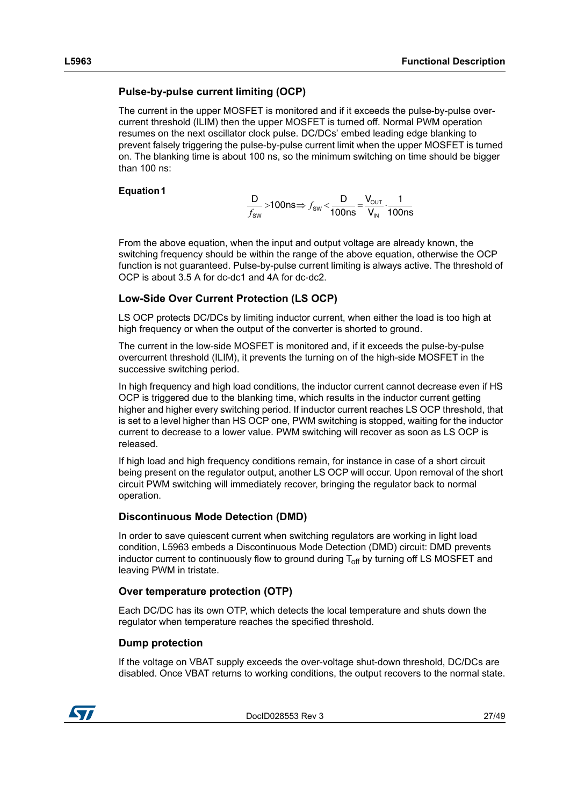### <span id="page-26-0"></span>**Pulse-by-pulse current limiting (OCP)**

The current in the upper MOSFET is monitored and if it exceeds the pulse-by-pulse overcurrent threshold (ILIM) then the upper MOSFET is turned off. Normal PWM operation resumes on the next oscillator clock pulse. DC/DCs' embed leading edge blanking to prevent falsely triggering the pulse-by-pulse current limit when the upper MOSFET is turned on. The blanking time is about 100 ns, so the minimum switching on time should be bigger than 100 ns:

#### **Equation 1**

$$
\frac{D}{f_{sw}} > 100 \text{ns} \Rightarrow f_{sw} < \frac{D}{100 \text{ns}} = \frac{V_{our}}{V_{in}} \cdot \frac{1}{100 \text{ns}}
$$

From the above equation, when the input and output voltage are already known, the switching frequency should be within the range of the above equation, otherwise the OCP function is not guaranteed. Pulse-by-pulse current limiting is always active. The threshold of OCP is about 3.5 A for dc-dc1 and 4A for dc-dc2.

### **Low-Side Over Current Protection (LS OCP)**

LS OCP protects DC/DCs by limiting inductor current, when either the load is too high at high frequency or when the output of the converter is shorted to ground.

The current in the low-side MOSFET is monitored and, if it exceeds the pulse-by-pulse overcurrent threshold (ILIM), it prevents the turning on of the high-side MOSFET in the successive switching period.

In high frequency and high load conditions, the inductor current cannot decrease even if HS OCP is triggered due to the blanking time, which results in the inductor current getting higher and higher every switching period. If inductor current reaches LS OCP threshold, that is set to a level higher than HS OCP one, PWM switching is stopped, waiting for the inductor current to decrease to a lower value. PWM switching will recover as soon as LS OCP is released.

If high load and high frequency conditions remain, for instance in case of a short circuit being present on the regulator output, another LS OCP will occur. Upon removal of the short circuit PWM switching will immediately recover, bringing the regulator back to normal operation.

### **Discontinuous Mode Detection (DMD)**

In order to save quiescent current when switching regulators are working in light load condition, L5963 embeds a Discontinuous Mode Detection (DMD) circuit: DMD prevents inductor current to continuously flow to ground during  $T_{\text{off}}$  by turning off LS MOSFET and leaving PWM in tristate.

#### **Over temperature protection (OTP)**

Each DC/DC has its own OTP, which detects the local temperature and shuts down the regulator when temperature reaches the specified threshold.

#### **Dump protection**

If the voltage on VBAT supply exceeds the over-voltage shut-down threshold, DC/DCs are disabled. Once VBAT returns to working conditions, the output recovers to the normal state.

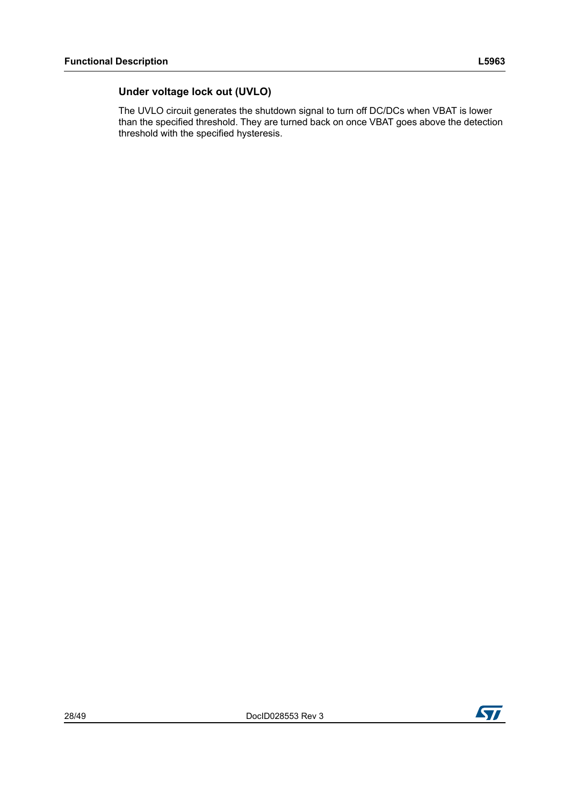### **Under voltage lock out (UVLO)**

The UVLO circuit generates the shutdown signal to turn off DC/DCs when VBAT is lower than the specified threshold. They are turned back on once VBAT goes above the detection threshold with the specified hysteresis.

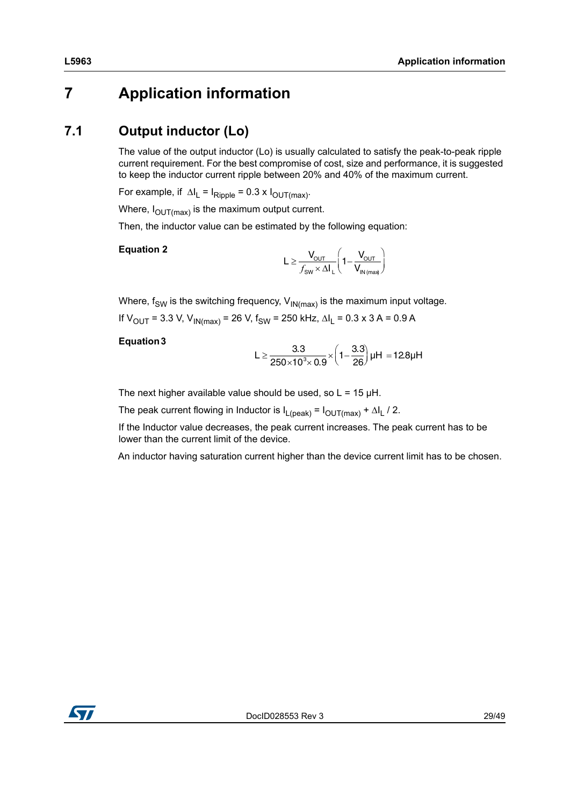# <span id="page-28-0"></span>**7 Application information**

# <span id="page-28-1"></span>**7.1 Output inductor (Lo)**

The value of the output inductor (Lo) is usually calculated to satisfy the peak-to-peak ripple current requirement. For the best compromise of cost, size and performance, it is suggested to keep the inductor current ripple between 20% and 40% of the maximum current.

For example, if  $\Delta I_L = I_{Ripple} = 0.3 \times I_{OUT(max)}$ .

Where,  $I_{\text{OUT(max)}}$  is the maximum output current.

Then, the inductor value can be estimated by the following equation:

#### **Equation 2**

$$
L \geq \frac{V_{\text{OUT}}}{\int_{\text{SW}} \times \Delta I_L} \left(1 - \frac{V_{\text{OUT}}}{V_{\text{IN} (max)}}\right)
$$

Where,  $f_{SW}$  is the switching frequency,  $V_{IN(max)}$  is the maximum input voltage.

If  $V_{\text{OUT}}$  = 3.3 V,  $V_{\text{IN(max)}}$  = 26 V,  $f_{\text{SW}}$  = 250 kHz,  $\Delta I_L$  = 0.3 x 3 A = 0.9 A

#### **Equation 3**

$$
L \geq \frac{3.3}{250 \times 10^3 \times 0.9} \times \left(1 - \frac{3.3}{26}\right) \mu H = 12.8 \mu H
$$

The next higher available value should be used, so  $L = 15 \mu H$ .

The peak current flowing in Inductor is  $I_{L(peak)} = I_{OUT(max)} + \Delta I_L / 2$ .

If the Inductor value decreases, the peak current increases. The peak current has to be lower than the current limit of the device.

An inductor having saturation current higher than the device current limit has to be chosen.

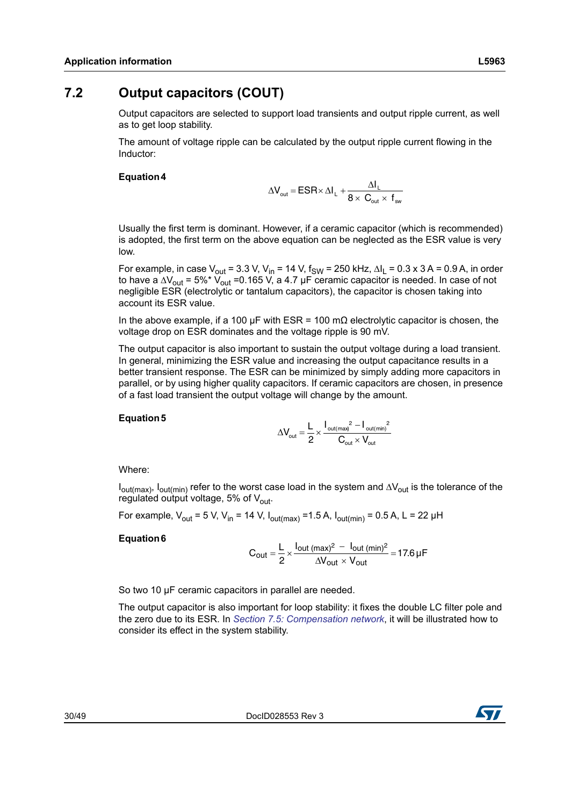<span id="page-29-0"></span>Output capacitors are selected to support load transients and output ripple current, as well as to get loop stability.

The amount of voltage ripple can be calculated by the output ripple current flowing in the Inductor:

#### **Equation 4**

$$
\Delta V_{\text{out}} = ESR \times \Delta I_L + \frac{\Delta I_L}{8 \times C_{\text{out}} \times f_{\text{sw}}}
$$

Usually the first term is dominant. However, if a ceramic capacitor (which is recommended) is adopted, the first term on the above equation can be neglected as the ESR value is very low.

For example, in case  $V_{\text{out}} = 3.3$  V,  $V_{\text{in}} = 14$  V,  $f_{\text{SW}} = 250$  kHz,  $\Delta I_L = 0.3$  x 3 A = 0.9 A, in order to have a  $\Delta V_{\text{out}}$  = 5%\*  $V_{\text{out}}$  =0.165 V, a 4.7 µF ceramic capacitor is needed. In case of not negligible ESR (electrolytic or tantalum capacitors), the capacitor is chosen taking into account its ESR value.

In the above example, if a 100 μF with ESR = 100 m $\Omega$  electrolytic capacitor is chosen, the voltage drop on ESR dominates and the voltage ripple is 90 mV.

The output capacitor is also important to sustain the output voltage during a load transient. In general, minimizing the ESR value and increasing the output capacitance results in a better transient response. The ESR can be minimized by simply adding more capacitors in parallel, or by using higher quality capacitors. If ceramic capacitors are chosen, in presence of a fast load transient the output voltage will change by the amount.

#### **Equation 5**

$$
\Delta V_{\text{out}} = \frac{L}{2} \times \frac{I_{\text{out(max)}}^2 - I_{\text{out(min}}^2}{C_{\text{out}} \times V_{\text{out}}}
$$

Where:

 $I_{out(max)}$ ,  $I_{out(min)}$  refer to the worst case load in the system and  $\Delta V_{out}$  is the tolerance of the regulated output voltage, 5% of  $V_{\text{out}}$ .

For example,  $V_{\text{out}}$  = 5 V, V<sub>in</sub> = 14 V, I<sub>out(max)</sub> = 1.5 A, I<sub>out(min)</sub> = 0.5 A, L = 22 µH

#### **Equation 6**

$$
C_{out} = \frac{L}{2} \times \frac{I_{out (max)^2} - I_{out (min)^2}}{\Delta V_{out} \times V_{out}} = 17.6 \,\mu\text{F}
$$

So two 10 μF ceramic capacitors in parallel are needed.

The output capacitor is also important for loop stability: it fixes the double LC filter pole and the zero due to its ESR. In *Section [7.5: Compensation network](#page-30-2)*, it will be illustrated how to consider its effect in the system stability.

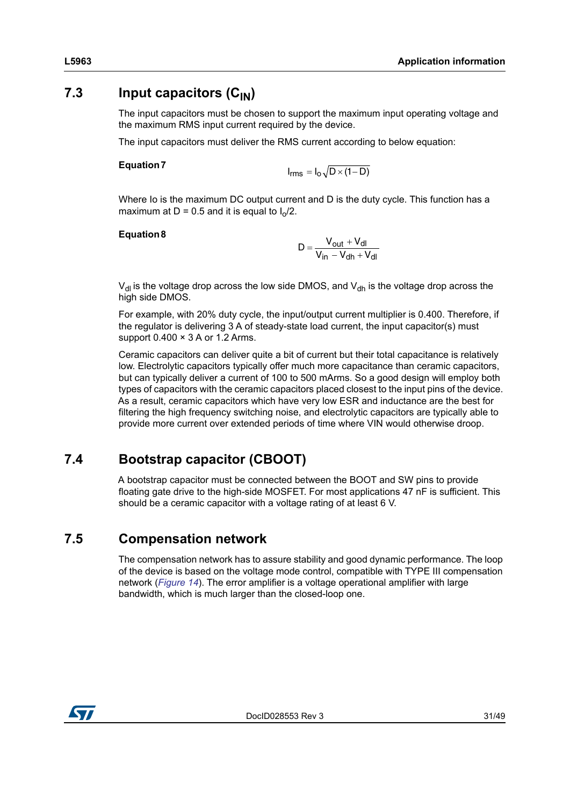## <span id="page-30-0"></span>**7.3** Input capacitors (C<sub>IN</sub>)

The input capacitors must be chosen to support the maximum input operating voltage and the maximum RMS input current required by the device.

The input capacitors must deliver the RMS current according to below equation:

#### **Equation 7**

$$
I_{rms} = I_0 \sqrt{D \times (1 - D)}
$$

Where Io is the maximum DC output current and D is the duty cycle. This function has a maximum at D = 0.5 and it is equal to  $I_0/2$ .

#### **Equation 8**

$$
D = \frac{V_{out} + V_{dl}}{V_{in} - V_{dh} + V_{dl}}
$$

 $V_{\text{dl}}$  is the voltage drop across the low side DMOS, and  $V_{\text{dl}}$  is the voltage drop across the high side DMOS.

For example, with 20% duty cycle, the input/output current multiplier is 0.400. Therefore, if the regulator is delivering 3 A of steady-state load current, the input capacitor(s) must support  $0.400 \times 3$  A or 1.2 Arms.

Ceramic capacitors can deliver quite a bit of current but their total capacitance is relatively low. Electrolytic capacitors typically offer much more capacitance than ceramic capacitors, but can typically deliver a current of 100 to 500 mArms. So a good design will employ both types of capacitors with the ceramic capacitors placed closest to the input pins of the device. As a result, ceramic capacitors which have very low ESR and inductance are the best for filtering the high frequency switching noise, and electrolytic capacitors are typically able to provide more current over extended periods of time where VIN would otherwise droop.

# <span id="page-30-1"></span>**7.4 Bootstrap capacitor (CBOOT)**

A bootstrap capacitor must be connected between the BOOT and SW pins to provide floating gate drive to the high-side MOSFET. For most applications 47 nF is sufficient. This should be a ceramic capacitor with a voltage rating of at least 6 V.

### <span id="page-30-2"></span>**7.5 Compensation network**

The compensation network has to assure stability and good dynamic performance. The loop of the device is based on the voltage mode control, compatible with TYPE III compensation network (*[Figure](#page-31-0) 14*). The error amplifier is a voltage operational amplifier with large bandwidth, which is much larger than the closed-loop one.

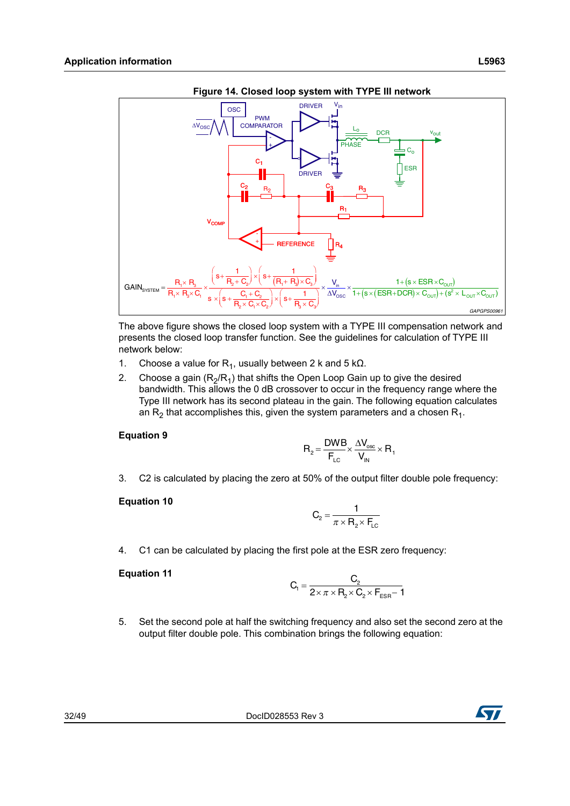<span id="page-31-0"></span>



The above figure shows the closed loop system with a TYPE III compensation network and presents the closed loop transfer function. See the guidelines for calculation of TYPE III network below:

- 1. Choose a value for  $R_1$ , usually between 2 k and 5 kΩ.
- 2. Choose a gain  $(R_2/R_1)$  that shifts the Open Loop Gain up to give the desired bandwidth. This allows the 0 dB crossover to occur in the frequency range where the Type III network has its second plateau in the gain. The following equation calculates an  $R_2$  that accomplishes this, given the system parameters and a chosen  $R_1$ .

#### **Equation 9**

$$
R_{2} = \frac{DWB}{F_{LC}} \times \frac{\Delta V_{osc}}{V_{IN}} \times R_{1}
$$

3. C2 is calculated by placing the zero at 50% of the output filter double pole frequency:

#### **Equation 10**

$$
C_2 = \frac{1}{\pi \times R_2 \times F_{LC}}
$$

4. C1 can be calculated by placing the first pole at the ESR zero frequency:

#### **Equation 11**

$$
C_1 = \frac{C_2}{2 \times \pi \times R_2 \times C_2 \times F_{ESR} - 1}
$$

5. Set the second pole at half the switching frequency and also set the second zero at the output filter double pole. This combination brings the following equation:

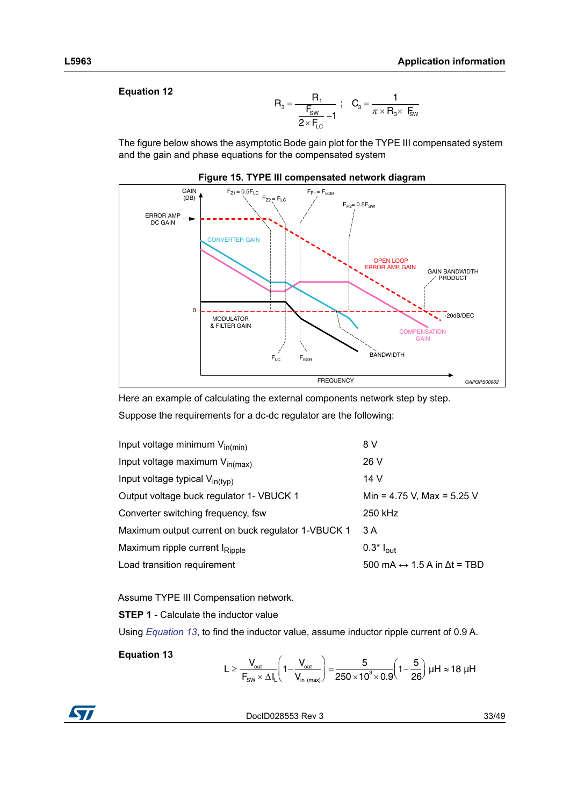#### **Equation 12**

$$
R_3 = \frac{R_1}{\frac{F_{\text{sw}}}{2 \times F_{\text{LC}}}-1} \; ; \quad C_3 = \frac{1}{\pi \times R_3 \times F_{\text{sw}}}
$$

The figure below shows the asymptotic Bode gain plot for the TYPE III compensated system and the gain and phase equations for the compensated system

<span id="page-32-0"></span>



Here an example of calculating the external components network step by step. Suppose the requirements for a dc-dc regulator are the following:

| Input voltage minimum $V_{in(min)}$                | 8 V                                                |
|----------------------------------------------------|----------------------------------------------------|
| Input voltage maximum V <sub>in(max)</sub>         | 26 V                                               |
| Input voltage typical V <sub>in(typ)</sub>         | 14 V                                               |
| Output voltage buck regulator 1- VBUCK 1           | Min = 4.75 V, Max = 5.25 V                         |
| Converter switching frequency, fsw                 | 250 kHz                                            |
| Maximum output current on buck regulator 1-VBUCK 1 | 3 A                                                |
| Maximum ripple current I <sub>Ripple</sub>         | $0.3^*$ $I_{\text{out}}$                           |
| Load transition requirement                        | 500 mA $\leftrightarrow$ 1.5 A in $\Delta t$ = TBD |

Assume TYPE III Compensation network.

**STEP 1** - Calculate the inductor value

Using *[Equation 13](#page-32-1)*, to find the inductor value, assume inductor ripple current of 0.9 A.

<span id="page-32-1"></span>**Equation 13**

$$
L \geq \frac{V_{\text{out}}}{F_{\text{sw}} \times \Delta I_{L}} \Bigg(1 - \frac{V_{\text{out}}}{V_{\text{in (max)}}}\Bigg) = \frac{5}{250 \times 10^{3} \times 0.9} \Bigg(1 - \frac{5}{26}\Bigg) \; \mu H \approx 18 \; \mu H
$$



DocID028553 Rev 3 33/[49](#page-48-0)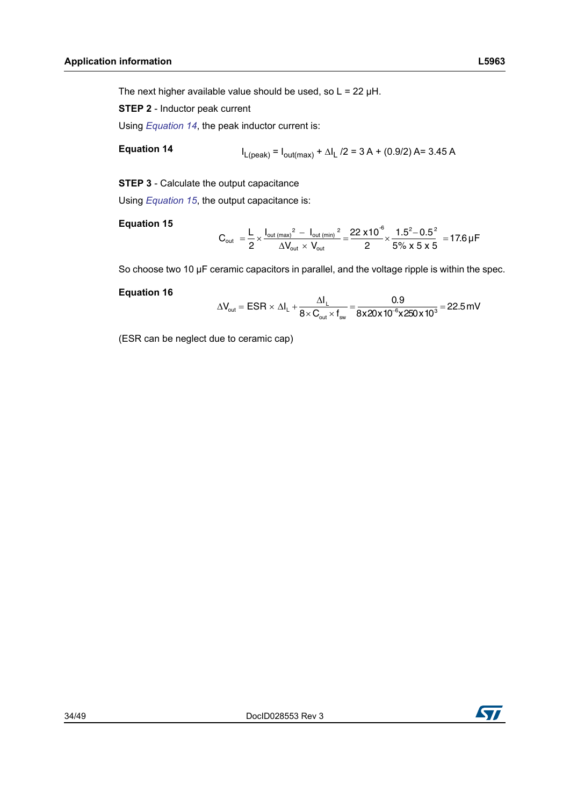The next higher available value should be used, so  $L = 22 \mu H$ .

**STEP 2** - Inductor peak current

Using *[Equation 14](#page-33-0)*, the peak inductor current is:

<span id="page-33-0"></span>**Equation 14**

$$
I_{L(peak)} = I_{out(max)} + \Delta I_L / 2 = 3A + (0.9/2) A = 3.45 A
$$

**STEP 3** - Calculate the output capacitance

Using *[Equation 15](#page-33-1)*, the output capacitance is:

#### <span id="page-33-1"></span>**Equation 15**

$$
C_{\text{out }}=\frac{L}{2} \times \frac{I_{\text{out (max)}}^2 \ - \ I_{\text{out (min)}}^2}{\Delta V_{\text{out}} \times V_{\text{out}}} = \frac{22 \times 10^{-6}}{2} \times \frac{1.5^2 - 0.5^2}{5\% \times 5 \times 5} \ = 17.6 \ \mu F
$$

So choose two 10 μF ceramic capacitors in parallel, and the voltage ripple is within the spec.

#### **Equation 16**

$$
\Delta V_{\text{out}} = ESR \times \Delta I_{\text{L}} + \frac{\Delta I_{\text{L}}}{8 \times C_{\text{out}} \times f_{\text{sw}}} = \frac{0.9}{8 \times 20 \times 10^{-6} \times 250 \times 10^{3}} = 22.5 \text{ mV}
$$

(ESR can be neglect due to ceramic cap)

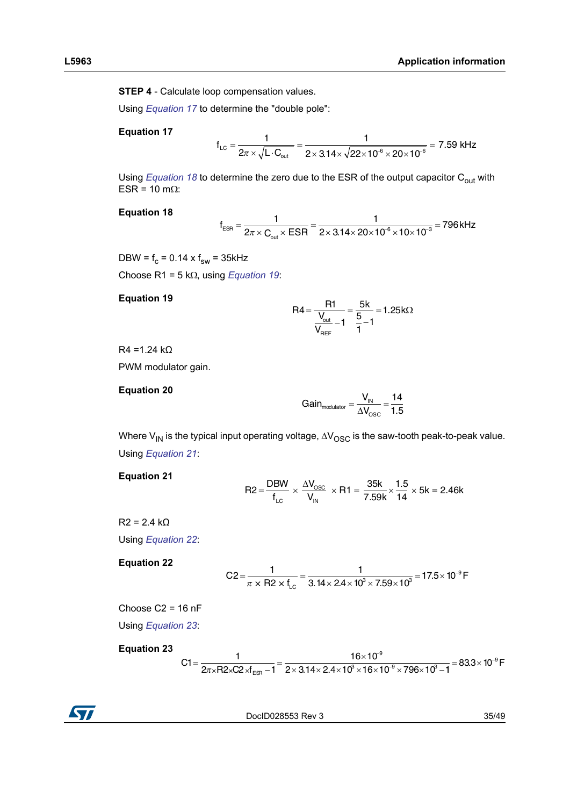**STEP 4** - Calculate loop compensation values.

Using *[Equation 17](#page-34-0)* to determine the "double pole":

#### <span id="page-34-0"></span>**Equation 17**

$$
f_{LC} = \frac{1}{2\pi \times \sqrt{L \cdot C_{out}}} = \frac{1}{2 \times 3.14 \times \sqrt{22 \times 10^{-6} \times 20 \times 10^{-6}}} = 7.59 \text{ kHz}
$$

Using *[Equation 18](#page-34-1)* to determine the zero due to the ESR of the output capacitor C<sub>out</sub> with ESR =  $10$  m $\Omega$ :

#### <span id="page-34-1"></span>**Equation 18**

$$
f_{ESR} = \frac{1}{2\pi \times C_{out} \times ESR} = \frac{1}{2 \times 3.14 \times 20 \times 10^{-6} \times 10 \times 10^{-3}} = 796 \text{ kHz}
$$

DBW =  $f_c$  = 0.14 x  $f_{sw}$  = 35kHz Choose R1 =  $5 k\Omega$ , using *[Equation 19](#page-34-2)*:

#### <span id="page-34-2"></span>**Equation 19**

$$
R4 = \frac{R1}{\frac{V_{\text{out}}}{V_{\text{REF}} - 1}} = \frac{5k}{\frac{5}{1} - 1} = 1.25k\Omega
$$

 $R4 = 1.24$  kΩ

PWM modulator gain.

#### **Equation 20**

$$
Gain_{\text{modulator}} = \frac{V_{\text{IN}}}{\Delta V_{\text{OSC}}} = \frac{14}{1.5}
$$

Where  $V_{IN}$  is the typical input operating voltage,  $\Delta V_{OSC}$  is the saw-tooth peak-to-peak value. Using *[Equation 21](#page-34-3)*:

#### <span id="page-34-3"></span>**Equation 21**

$$
R2 = \frac{DBW}{f_{LC}} \times \frac{\Delta V_{OSC}}{V_{IN}} \times R1 = \frac{35k}{7.59k} \times \frac{1.5}{14} \times 5k = 2.46k
$$

 $R2 = 2.4 kO$ Using *[Equation 22](#page-34-4)*:

#### <span id="page-34-4"></span>**Equation 22**

$$
C2 = \frac{1}{\pi \times R2 \times f_{LC}} = \frac{1}{3.14 \times 2.4 \times 10^3 \times 7.59 \times 10^3} = 17.5 \times 10^{-9} \text{ F}
$$

Choose C2 = 16 nF

Using *[Equation 23](#page-34-5)*:

#### <span id="page-34-5"></span>**Equation 23**

$$
C1 = \frac{1}{2\pi \times 10^{-9} \text{ F}} = \frac{16 \times 10^{-9}}{2 \times 3.14 \times 2.4 \times 10^{9} \times 16 \times 10^{-9} \times 796 \times 10^{3} - 1} = 83.3 \times 10^{-9} \text{ F}
$$

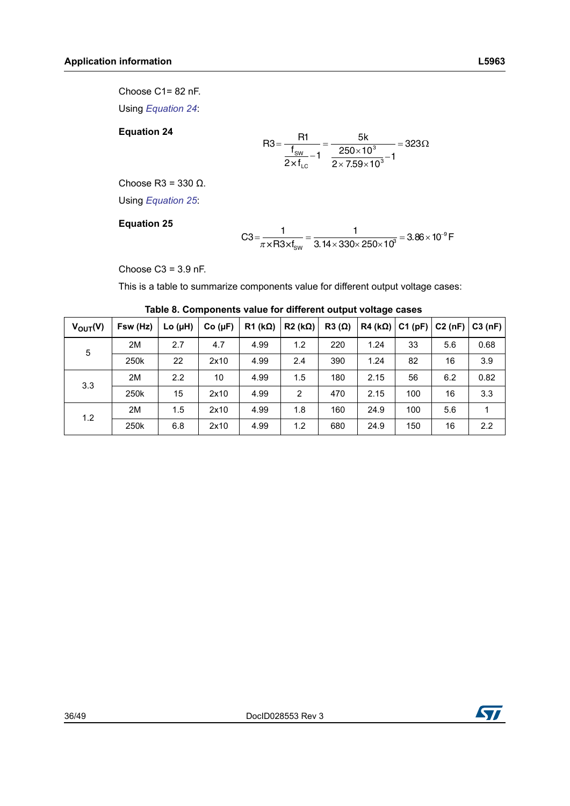Choose C1= 82 nF.

Using *[Equation 24](#page-35-1)*:

<span id="page-35-1"></span>**Equation 24**

$$
R3 = \frac{R1}{\frac{f_{sw}}{2 \times f_{LC}} - 1} = \frac{5k}{\frac{250 \times 10^3}{2 \times 7.59 \times 10^3} - 1} = 323\Omega
$$

Choose R3 = 330 Ω.

Using *[Equation 25](#page-35-2)*:

#### <span id="page-35-2"></span>**Equation 25**

$$
C3 = \frac{1}{\pi \times R3 \times f_{SW}} = \frac{1}{3.14 \times 330 \times 250 \times 10^3} = 3.86 \times 10^{-9} \text{ F}
$$

Choose  $C3 = 3.9$  nF.

This is a table to summarize components value for different output voltage cases:

|  |  | Table 8. Components value for different output voltage cases |  |  |  |  |  |
|--|--|--------------------------------------------------------------|--|--|--|--|--|
|--|--|--------------------------------------------------------------|--|--|--|--|--|

<span id="page-35-0"></span>

| $V_{OUT}(V)$ | Fsw (Hz) | Lo $(\mu H)$ | Co (µF) | $R1$ (k $\Omega$ ) | $R2 (k\Omega)$ | $R3(\Omega)$ | $R4 (k\Omega)$ | C1(pF) |     | $C2$ (nF) $ C3$ (nF) |
|--------------|----------|--------------|---------|--------------------|----------------|--------------|----------------|--------|-----|----------------------|
| 5            | 2M       | 2.7          | 4.7     | 4.99               | 1.2            | 220          | 1.24           | 33     | 5.6 | 0.68                 |
|              | 250k     | 22           | 2x10    | 4.99               | 2.4            | 390          | 1.24           | 82     | 16  | 3.9                  |
| 3.3          | 2M       | 2.2          | 10      | 4.99               | 1.5            | 180          | 2.15           | 56     | 6.2 | 0.82                 |
|              | 250k     | 15           | 2x10    | 4.99               | 2              | 470          | 2.15           | 100    | 16  | 3.3                  |
|              | 2M       | 1.5          | 2x10    | 4.99               | 1.8            | 160          | 24.9           | 100    | 5.6 | 1                    |
| 1.2          | 250k     | 6.8          | 2x10    | 4.99               | 1.2            | 680          | 24.9           | 150    | 16  | 2.2                  |

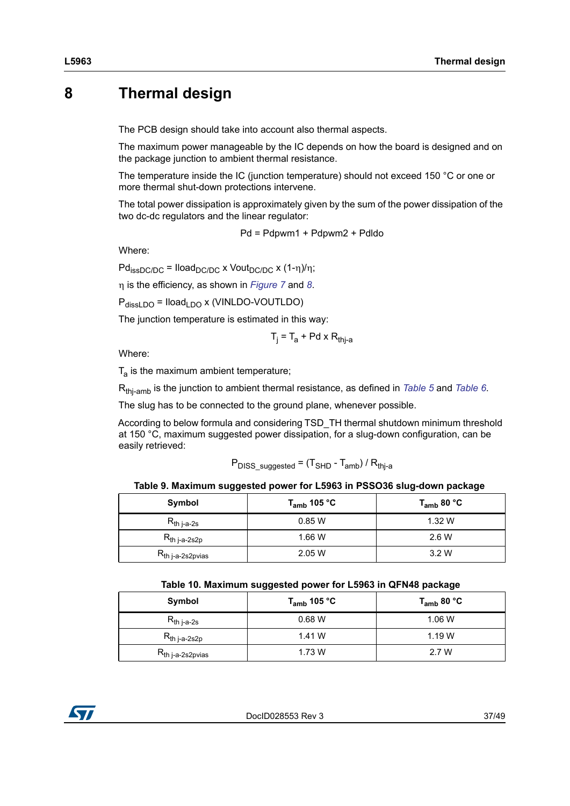# <span id="page-36-0"></span>**8 Thermal design**

The PCB design should take into account also thermal aspects.

The maximum power manageable by the IC depends on how the board is designed and on the package junction to ambient thermal resistance.

The temperature inside the IC (junction temperature) should not exceed 150 °C or one or more thermal shut-down protections intervene.

The total power dissipation is approximately given by the sum of the power dissipation of the two dc-dc regulators and the linear regulator:

$$
Pd = Pdpwm1 + Pdpwm2 + Pdldo
$$

Where:

 $Pd_{\text{issDC/DC}} = \text{Iload}_{\text{DC/DC}} \times \text{Vout}_{\text{DC/DC}} \times (1-\eta)/\eta;$ 

is the efficiency, as shown in *[Figure](#page-17-1) 7* and *[8](#page-17-2)*.

 $P_{\text{dissLDO}} = \text{Iload}_{\text{LDO}} x$  (VINLDO-VOUTLDO)

The junction temperature is estimated in this way:

$$
T_j = T_a + Pd \times R_{thj-a}
$$

Where:

 $T_a$  is the maximum ambient temperature;

Rthj-amb is the junction to ambient thermal resistance, as defined in *[Table](#page-13-4) 5* and *[Table](#page-13-5) 6*.

The slug has to be connected to the ground plane, whenever possible.

According to below formula and considering TSD\_TH thermal shutdown minimum threshold at 150 °C, maximum suggested power dissipation, for a slug-down configuration, can be easily retrieved:

$$
P_{DISS_suggested} = (T_{SHD} - T_{amb}) / R_{thj-a}
$$

#### **Table 9. Maximum suggested power for L5963 in PSSO36 slug-down package**

<span id="page-36-1"></span>

| Symbol                   | T <sub>amb</sub> 105 °C | $\mathsf{T}_{\mathsf{amb}}$ 80 °C |
|--------------------------|-------------------------|-----------------------------------|
| $R_{th\ j-a-2s}$         | 0.85W                   | 1.32W                             |
| $R_{th\ j-a-2s2p}$       | 1.66 W                  | 2.6 W                             |
| $R_{th\ j-a-2s2p\n$ vias | 2.05W                   | 3.2W                              |

| Table 10. Maximum suggested power for L5963 in QFN48 package |  |  |  |
|--------------------------------------------------------------|--|--|--|
|--------------------------------------------------------------|--|--|--|

<span id="page-36-2"></span>

| Symbol                   | T <sub>amb</sub> 105 °C | T <sub>amb</sub> 80 °C |
|--------------------------|-------------------------|------------------------|
| $R_{th\,$ j-a-2s         | 0.68 W                  | 1.06W                  |
| $R_{th\ j-a-2s2p}$       | 1.41 W                  | 1.19W                  |
| $R_{th\ j-a-2s2p\n$ vias | 1.73 W                  | 2.7 W                  |

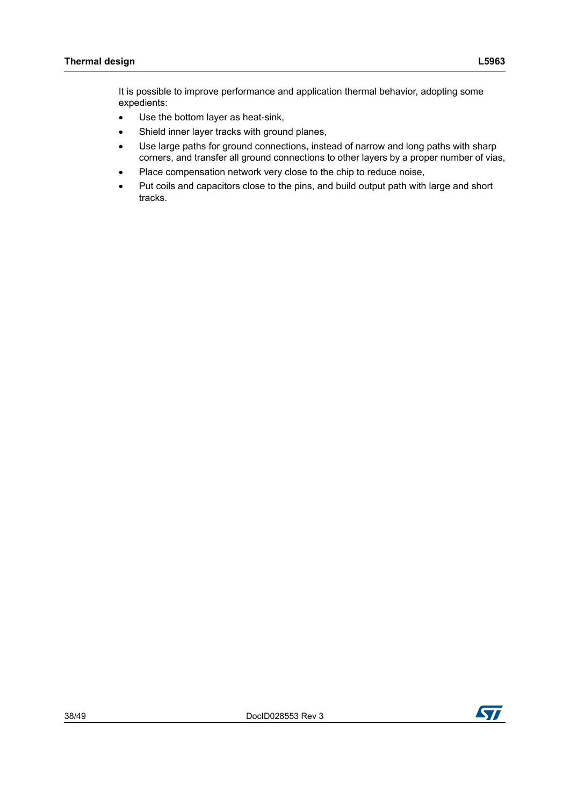It is possible to improve performance and application thermal behavior, adopting some expedients:

- Use the bottom layer as heat-sink,
- Shield inner layer tracks with ground planes,
- Use large paths for ground connections, instead of narrow and long paths with sharp corners, and transfer all ground connections to other layers by a proper number of vias,
- Place compensation network very close to the chip to reduce noise,
- Put coils and capacitors close to the pins, and build output path with large and short tracks.

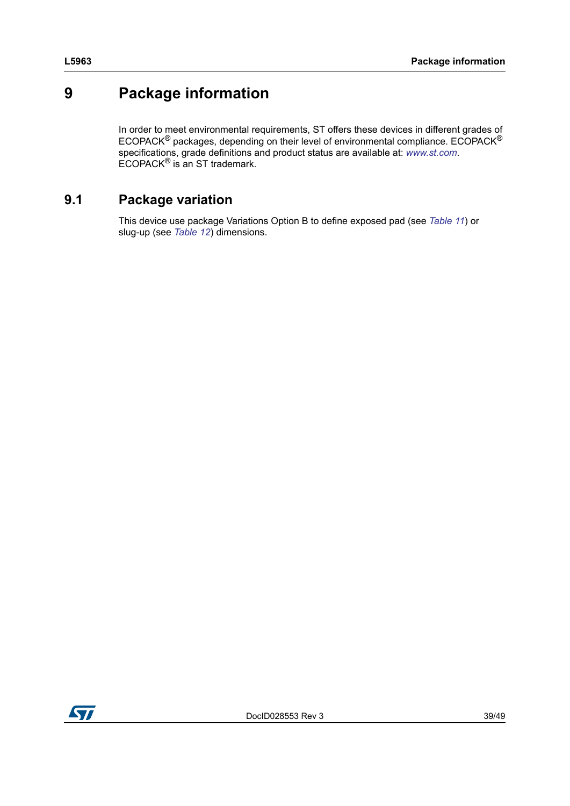# <span id="page-38-0"></span>**9 Package information**

In order to meet environmental requirements, ST offers these devices in different grades of ECOPACK® packages, depending on their level of environmental compliance. ECOPACK® specifications, grade definitions and product status are available at: *[www.st.com](http://www.st.com)*. ECOPACK® is an ST trademark.

# <span id="page-38-1"></span>**9.1 Package variation**

This device use package Variations Option B to define exposed pad (see *[Table](#page-39-1) 11*) or slug-up (see *[Table](#page-42-1) 12*) dimensions.

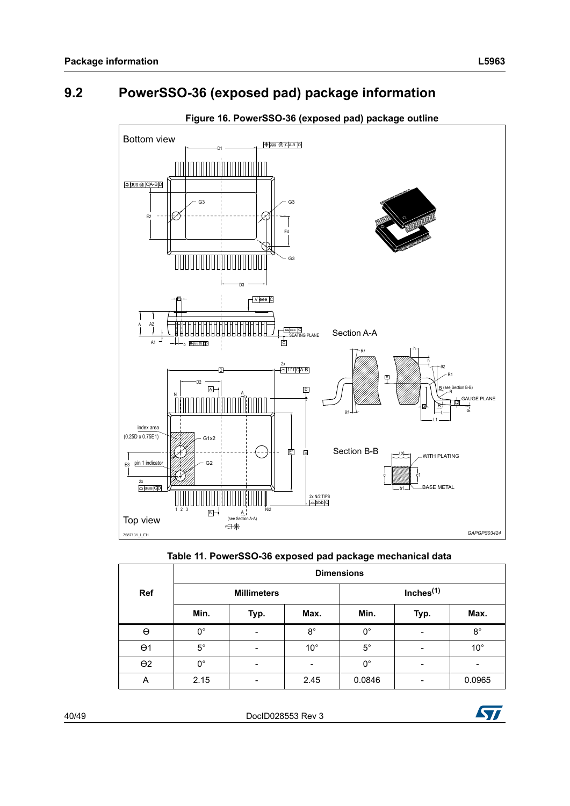# <span id="page-39-0"></span>**9.2 PowerSSO-36 (exposed pad) package information**

<span id="page-39-2"></span>

#### **Figure 16. PowerSSO-36 (exposed pad) package outline**



<span id="page-39-1"></span>

|            | <b>Dimensions</b> |                          |              |             |                 |              |  |  |  |  |
|------------|-------------------|--------------------------|--------------|-------------|-----------------|--------------|--|--|--|--|
| <b>Ref</b> |                   | <b>Millimeters</b>       |              |             | Inches $(1)$    |              |  |  |  |  |
|            | Min.              | Typ.                     | Max.         | Min.        | Typ.            | Max.         |  |  |  |  |
| $\Theta$   | $0^{\circ}$       | $\overline{\phantom{a}}$ | $8^{\circ}$  | $0^{\circ}$ | $\overline{a}$  | $8^{\circ}$  |  |  |  |  |
| $\Theta$ 1 | $5^{\circ}$       | -                        | $10^{\circ}$ | $5^{\circ}$ |                 | $10^{\circ}$ |  |  |  |  |
| $\Theta$ 2 | $0^{\circ}$       | -                        |              | $0^{\circ}$ | $\qquad \qquad$ |              |  |  |  |  |
| Α          | 2.15              | -                        | 2.45         | 0.0846      | $\overline{a}$  | 0.0965       |  |  |  |  |

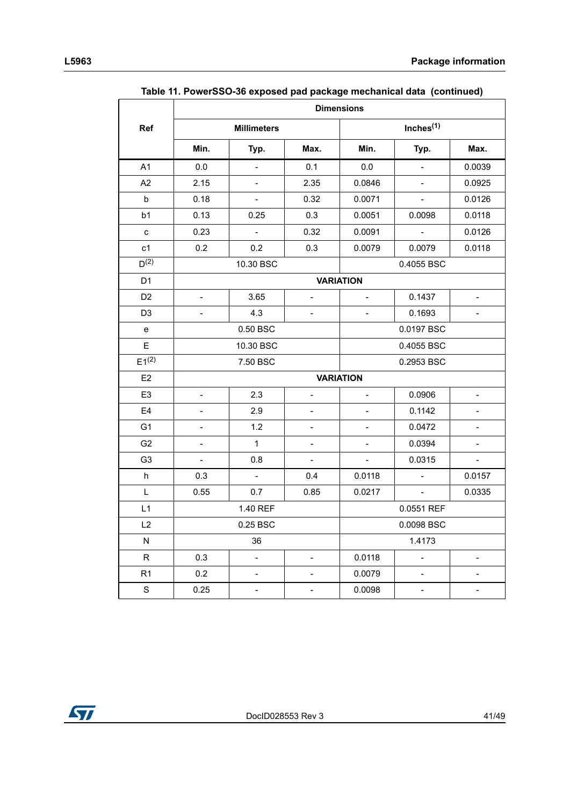|                           | rasio T.F. Oncrooo oo cxposca paa paonago moonamoaraaa (commuca)<br><b>Dimensions</b> |                           |                              |                          |                             |                          |  |
|---------------------------|---------------------------------------------------------------------------------------|---------------------------|------------------------------|--------------------------|-----------------------------|--------------------------|--|
| Ref                       |                                                                                       | <b>Millimeters</b>        |                              |                          | Inches $(1)$                |                          |  |
|                           | Min.                                                                                  | Typ.                      | Max.                         | Min.                     | Typ.                        | Max.                     |  |
| A1                        | $0.0\,$                                                                               | $\mathbb{L}^{\mathbb{N}}$ | 0.1                          | 0.0                      | $\bar{\phantom{a}}$         | 0.0039                   |  |
| A2                        | 2.15                                                                                  | $\overline{\phantom{a}}$  | 2.35                         | 0.0846                   | $\blacksquare$              | 0.0925                   |  |
| b                         | 0.18                                                                                  | $\equiv$                  | 0.32                         | 0.0071                   | $\omega$                    | 0.0126                   |  |
| b1                        | 0.13                                                                                  | 0.25                      | 0.3                          | 0.0051                   | 0.0098                      | 0.0118                   |  |
| $\mathbf{C}$              | 0.23                                                                                  | $\equiv$                  | 0.32                         | 0.0091                   | $\mathcal{L}_{\mathcal{A}}$ | 0.0126                   |  |
| c1                        | 0.2                                                                                   | 0.2                       | 0.3                          | 0.0079                   | 0.0079                      | 0.0118                   |  |
| D <sup>(2)</sup>          |                                                                                       | 10.30 BSC                 |                              |                          | 0.4055 BSC                  |                          |  |
| D <sub>1</sub>            |                                                                                       |                           |                              | <b>VARIATION</b>         |                             |                          |  |
| D <sub>2</sub>            | $\overline{\phantom{0}}$                                                              | 3.65                      | $\overline{a}$               | $\blacksquare$           | 0.1437                      |                          |  |
| D <sub>3</sub>            |                                                                                       | 4.3                       |                              |                          | 0.1693                      |                          |  |
| ${\bf e}$                 |                                                                                       | 0.50 BSC                  |                              | 0.0197 BSC               |                             |                          |  |
| E                         |                                                                                       | 10.30 BSC                 |                              |                          | 0.4055 BSC                  |                          |  |
| $E1^{(2)}$                |                                                                                       | 7.50 BSC                  |                              |                          | 0.2953 BSC                  |                          |  |
| E <sub>2</sub>            |                                                                                       |                           |                              | <b>VARIATION</b>         |                             |                          |  |
| E <sub>3</sub>            | $\blacksquare$                                                                        | 2.3                       | $\overline{a}$               | $\overline{\phantom{a}}$ | 0.0906                      | $\blacksquare$           |  |
| E4                        |                                                                                       | 2.9                       |                              |                          | 0.1142                      |                          |  |
| G <sub>1</sub>            | $\overline{\phantom{0}}$                                                              | 1.2                       | $\overline{\phantom{a}}$     | $\overline{\phantom{a}}$ | 0.0472                      | $\overline{\phantom{a}}$ |  |
| G <sub>2</sub>            |                                                                                       | $\mathbf{1}$              | $\overline{\phantom{0}}$     |                          | 0.0394                      |                          |  |
| G <sub>3</sub>            |                                                                                       | 0.8                       | $\overline{\phantom{a}}$     | $\overline{\phantom{a}}$ | 0.0315                      |                          |  |
| $\boldsymbol{\mathsf{h}}$ | 0.3                                                                                   | $\equiv$                  | 0.4                          | 0.0118                   | $\overline{\phantom{a}}$    | 0.0157                   |  |
| L                         | 0.55                                                                                  | 0.7                       | 0.85                         | 0.0217                   | $\overline{\phantom{a}}$    | 0.0335                   |  |
| L1                        |                                                                                       | 1.40 REF                  |                              |                          | 0.0551 REF                  |                          |  |
| L2                        |                                                                                       | 0.25 BSC                  |                              |                          | 0.0098 BSC                  |                          |  |
| N                         |                                                                                       | 36                        |                              |                          | 1.4173                      |                          |  |
| $\mathsf R$               | 0.3                                                                                   | $\overline{\phantom{0}}$  |                              | 0.0118                   |                             |                          |  |
| R1                        | 0.2                                                                                   | $\overline{\phantom{0}}$  | $\overline{\phantom{a}}$     | 0.0079                   | $\overline{\phantom{0}}$    | $\qquad \qquad -$        |  |
| S                         | 0.25                                                                                  | -                         | $\qquad \qquad \blacksquare$ | 0.0098                   |                             |                          |  |

**Table 11. PowerSSO-36 exposed pad package mechanical data (continued)**

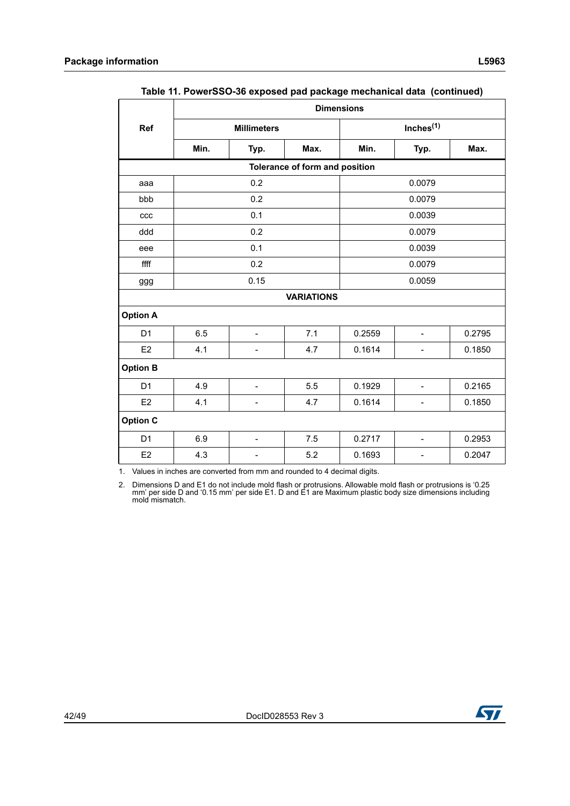|                 |                                        | rable The OwerOOO-00 exposed pad package incentation data (continued)<br><b>Dimensions</b> |                                |        |                              |        |  |  |  |
|-----------------|----------------------------------------|--------------------------------------------------------------------------------------------|--------------------------------|--------|------------------------------|--------|--|--|--|
| Ref             |                                        | <b>Millimeters</b>                                                                         |                                |        | Inches <sup>(1)</sup>        |        |  |  |  |
|                 | Min.                                   | Typ.                                                                                       | Max.                           | Min.   | Typ.                         | Max.   |  |  |  |
|                 |                                        |                                                                                            | Tolerance of form and position |        |                              |        |  |  |  |
| aaa             |                                        | 0.2                                                                                        |                                |        | 0.0079                       |        |  |  |  |
| bbb             |                                        | 0.2                                                                                        |                                |        | 0.0079                       |        |  |  |  |
| ccc             |                                        | 0.1                                                                                        |                                |        | 0.0039                       |        |  |  |  |
| ddd             |                                        | 0.2                                                                                        |                                |        | 0.0079                       |        |  |  |  |
| eee             |                                        | 0.1                                                                                        |                                |        | 0.0039                       |        |  |  |  |
| ffff            |                                        | 0.2                                                                                        |                                | 0.0079 |                              |        |  |  |  |
| <b>ggg</b>      |                                        | 0.15                                                                                       |                                | 0.0059 |                              |        |  |  |  |
|                 |                                        |                                                                                            | <b>VARIATIONS</b>              |        |                              |        |  |  |  |
| <b>Option A</b> |                                        |                                                                                            |                                |        |                              |        |  |  |  |
| D <sub>1</sub>  | 6.5                                    | $\overline{\phantom{a}}$                                                                   | 7.1                            | 0.2559 | $\blacksquare$               | 0.2795 |  |  |  |
| E <sub>2</sub>  | 4.1                                    | $\qquad \qquad \blacksquare$                                                               | 4.7                            | 0.1614 | $\qquad \qquad \blacksquare$ | 0.1850 |  |  |  |
| <b>Option B</b> |                                        |                                                                                            |                                |        |                              |        |  |  |  |
| D <sub>1</sub>  | 4.9                                    | $\overline{a}$                                                                             | 5.5                            | 0.1929 | $\overline{a}$               | 0.2165 |  |  |  |
| E <sub>2</sub>  | 4.1<br>4.7<br>$\overline{\phantom{m}}$ |                                                                                            |                                | 0.1614 | $\qquad \qquad \blacksquare$ | 0.1850 |  |  |  |
| <b>Option C</b> |                                        |                                                                                            |                                |        |                              |        |  |  |  |
| D <sub>1</sub>  | 6.9                                    | $\qquad \qquad \blacksquare$                                                               | 7.5                            | 0.2717 | $\qquad \qquad \blacksquare$ | 0.2953 |  |  |  |
| E <sub>2</sub>  | 4.3                                    |                                                                                            | 5.2                            | 0.1693 |                              | 0.2047 |  |  |  |

| Table 11. PowerSSO-36 exposed pad package mechanical data (continued) |  |  |  |
|-----------------------------------------------------------------------|--|--|--|
|                                                                       |  |  |  |

1. Values in inches are converted from mm and rounded to 4 decimal digits.

2. Dimensions D and E1 do not include mold flash or protrusions. Allowable mold flash or protrusions is '0.25 mm' per side D and '0.15 mm' per side E1. D and E1 are Maximum plastic body size dimensions including mold mismatch.

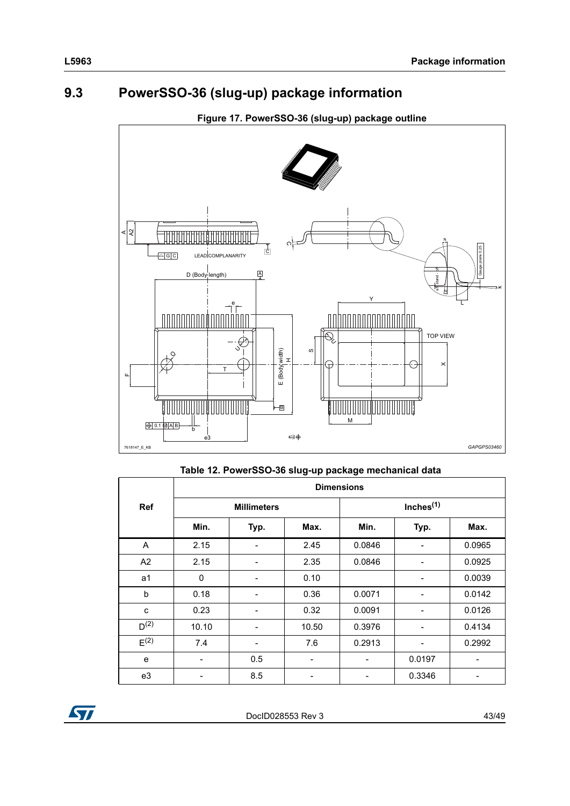# <span id="page-42-0"></span>**9.3 PowerSSO-36 (slug-up) package information**

<span id="page-42-2"></span>

# **Table 12. PowerSSO-36 slug-up package mechanical data**

<span id="page-42-1"></span>

|                  | <b>Dimensions</b> |                    |       |        |                          |        |  |
|------------------|-------------------|--------------------|-------|--------|--------------------------|--------|--|
| <b>Ref</b>       |                   | <b>Millimeters</b> |       |        | Inches <sup>(1)</sup>    |        |  |
|                  | Min.              | Typ.               | Max.  | Min.   | Typ.                     | Max.   |  |
| A                | 2.15              |                    | 2.45  | 0.0846 |                          | 0.0965 |  |
| A2               | 2.15              | -                  | 2.35  | 0.0846 | -                        | 0.0925 |  |
| a1               | 0                 | -                  | 0.10  |        | -                        | 0.0039 |  |
| b                | 0.18              | -                  | 0.36  | 0.0071 | -                        | 0.0142 |  |
| C                | 0.23              | -                  | 0.32  | 0.0091 | $\overline{\phantom{a}}$ | 0.0126 |  |
| D <sup>(2)</sup> | 10.10             | -                  | 10.50 | 0.3976 | $\overline{\phantom{a}}$ | 0.4134 |  |
| E <sup>(2)</sup> | 7.4               | -                  | 7.6   | 0.2913 | $\overline{\phantom{a}}$ | 0.2992 |  |
| e                |                   | 0.5                |       |        | 0.0197                   |        |  |
| e3               |                   | 8.5                |       |        | 0.3346                   |        |  |

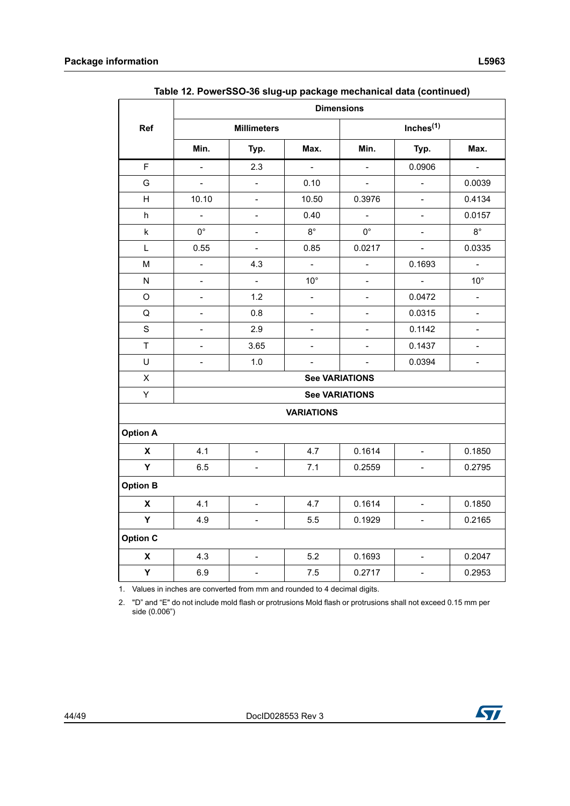**Ref**

| Table 12. PowerSSO-36 slug-up package mechanical data (continued) |       |                    |              |             |                       |              |  |  |  |  |
|-------------------------------------------------------------------|-------|--------------------|--------------|-------------|-----------------------|--------------|--|--|--|--|
|                                                                   |       | <b>Dimensions</b>  |              |             |                       |              |  |  |  |  |
| ?ef                                                               |       | <b>Millimeters</b> |              |             | Inches <sup>(1)</sup> |              |  |  |  |  |
|                                                                   | Min.  | Typ.               | Max.         | Min.        | Typ.                  | Max.         |  |  |  |  |
| F                                                                 |       | 2.3                |              |             | 0.0906                |              |  |  |  |  |
| G                                                                 |       |                    | 0.10         |             |                       | 0.0039       |  |  |  |  |
| H                                                                 | 10.10 | -                  | 10.50        | 0.3976      |                       | 0.4134       |  |  |  |  |
| h                                                                 |       |                    | 0.40         |             |                       | 0.0157       |  |  |  |  |
| k                                                                 | 0°    |                    | $8^\circ$    | $0^{\circ}$ |                       | $8^\circ$    |  |  |  |  |
| L                                                                 | 0.55  | -                  | 0.85         | 0.0217      |                       | 0.0335       |  |  |  |  |
| M                                                                 |       | 4.3                |              |             | 0.1693                |              |  |  |  |  |
| N                                                                 |       |                    | $10^{\circ}$ |             |                       | $10^{\circ}$ |  |  |  |  |
| O                                                                 |       | 1.2                |              |             | 0.0472                |              |  |  |  |  |
| Q                                                                 |       | 0.8                |              |             | 0.0315                |              |  |  |  |  |

| Table 12. PowerSSO-36 slug-up package mechanical data (continued) |  |  |  |
|-------------------------------------------------------------------|--|--|--|
|                                                                   |  |  |  |

| U               | ۰                     | 1.0                          | $\blacksquare$ |                       | 0.0394                   | $\overline{a}$ |  |  |  |
|-----------------|-----------------------|------------------------------|----------------|-----------------------|--------------------------|----------------|--|--|--|
| X               | <b>See VARIATIONS</b> |                              |                |                       |                          |                |  |  |  |
| Υ               |                       |                              |                | <b>See VARIATIONS</b> |                          |                |  |  |  |
|                 | <b>VARIATIONS</b>     |                              |                |                       |                          |                |  |  |  |
| <b>Option A</b> |                       |                              |                |                       |                          |                |  |  |  |
| X               | 4.1                   | $\overline{\phantom{0}}$     | 4.7            | 0.1614                | $\overline{\phantom{0}}$ | 0.1850         |  |  |  |
| Υ               | 6.5                   | -                            | 7.1            | 0.2559                |                          | 0.2795         |  |  |  |
| <b>Option B</b> |                       |                              |                |                       |                          |                |  |  |  |
| X               | 4.1                   | $\overline{a}$               | 4.7            | 0.1614                | $\overline{\phantom{0}}$ | 0.1850         |  |  |  |
| Y               | 4.9                   | $\overline{a}$               | 5.5            | 0.1929                | -                        | 0.2165         |  |  |  |
| <b>Option C</b> |                       |                              |                |                       |                          |                |  |  |  |
| X               | 4.3                   | $\qquad \qquad \blacksquare$ | 5.2            | 0.1693                | $\overline{\phantom{a}}$ | 0.2047         |  |  |  |
| Y               | 6.9                   |                              | 7.5            | 0.2717                |                          | 0.2953         |  |  |  |

S | - | 2.9 | - | - | 0.1142 | -T | - | 3.65 | - | - | 0.1437 | -

1. Values in inches are converted from mm and rounded to 4 decimal digits.

<span id="page-43-0"></span>2. "D" and "E" do not include mold flash or protrusions Mold flash or protrusions shall not exceed 0.15 mm per side (0.006")

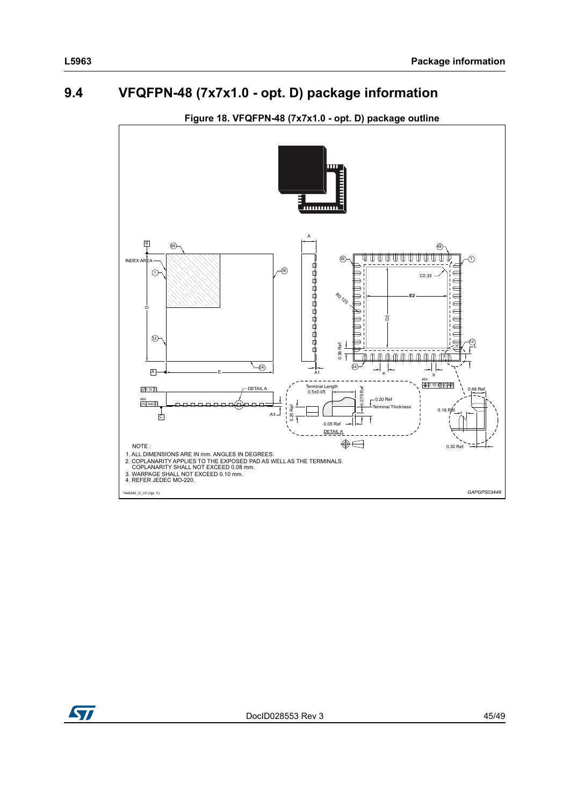# <span id="page-44-0"></span>**9.4 VFQFPN-48 (7x7x1.0 - opt. D) package information**

<span id="page-44-1"></span>

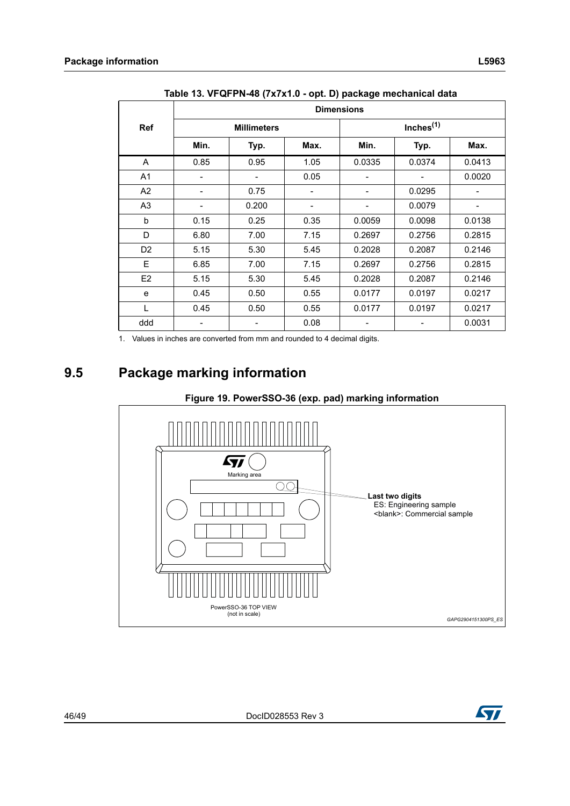<span id="page-45-1"></span>

| $1000$ TV. YI WI THE TO TATATIVE OPT. By package incondition data |                   |                    |                              |        |                       |                              |  |  |  |  |
|-------------------------------------------------------------------|-------------------|--------------------|------------------------------|--------|-----------------------|------------------------------|--|--|--|--|
|                                                                   | <b>Dimensions</b> |                    |                              |        |                       |                              |  |  |  |  |
| Ref                                                               |                   | <b>Millimeters</b> |                              |        | Inches <sup>(1)</sup> |                              |  |  |  |  |
|                                                                   | Min.              | Typ.               | Max.                         | Min.   | Typ.                  | Max.                         |  |  |  |  |
| A                                                                 | 0.85              | 0.95               | 1.05                         | 0.0335 | 0.0374                | 0.0413                       |  |  |  |  |
| A <sub>1</sub>                                                    |                   |                    | 0.05                         |        |                       | 0.0020                       |  |  |  |  |
| A2                                                                |                   | 0.75               | $\qquad \qquad \blacksquare$ |        | 0.0295                | $\qquad \qquad \blacksquare$ |  |  |  |  |
| A <sub>3</sub>                                                    |                   | 0.200              |                              |        | 0.0079                |                              |  |  |  |  |
| b                                                                 | 0.15              | 0.25               | 0.35                         | 0.0059 | 0.0098                | 0.0138                       |  |  |  |  |
| D                                                                 | 6.80              | 7.00               | 7.15                         | 0.2697 | 0.2756                | 0.2815                       |  |  |  |  |
| D <sub>2</sub>                                                    | 5.15              | 5.30               | 5.45                         | 0.2028 | 0.2087                | 0.2146                       |  |  |  |  |
| E                                                                 | 6.85              | 7.00               | 7.15                         | 0.2697 | 0.2756                | 0.2815                       |  |  |  |  |
| E <sub>2</sub>                                                    | 5.15              | 5.30               | 5.45                         | 0.2028 | 0.2087                | 0.2146                       |  |  |  |  |
| e                                                                 | 0.45              | 0.50               | 0.55                         | 0.0177 | 0.0197                | 0.0217                       |  |  |  |  |
| L                                                                 | 0.45              | 0.50               | 0.55                         | 0.0177 | 0.0197                | 0.0217                       |  |  |  |  |
| ddd                                                               |                   |                    | 0.08                         |        |                       | 0.0031                       |  |  |  |  |

**Table 13. VFQFPN-48 (7x7x1.0 - opt. D) package mechanical data**

1. Values in inches are converted from mm and rounded to 4 decimal digits.

# <span id="page-45-0"></span>**9.5 Package marking information**

<span id="page-45-2"></span>

#### **Figure 19. PowerSSO-36 (exp. pad) marking information**

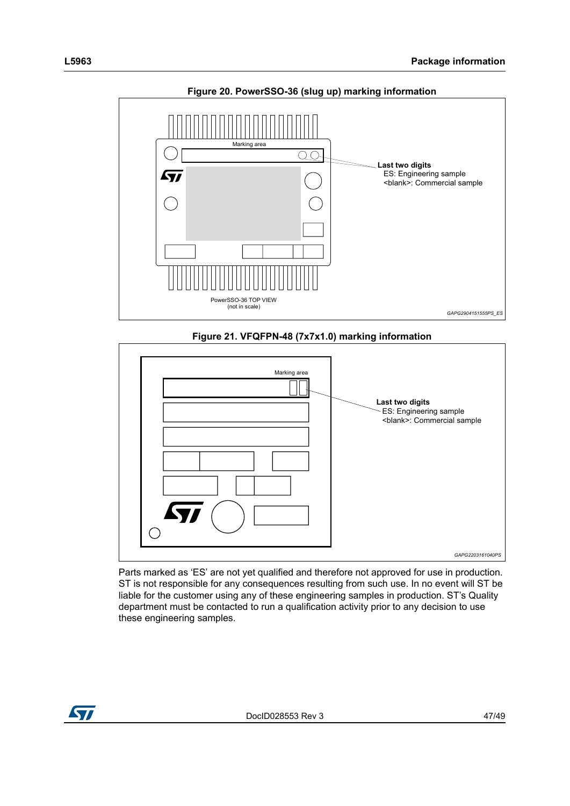

<span id="page-46-0"></span>

## **Figure 21. VFQFPN-48 (7x7x1.0) marking information**

<span id="page-46-1"></span>

Parts marked as 'ES' are not yet qualified and therefore not approved for use in production. ST is not responsible for any consequences resulting from such use. In no event will ST be liable for the customer using any of these engineering samples in production. ST's Quality department must be contacted to run a qualification activity prior to any decision to use these engineering samples.

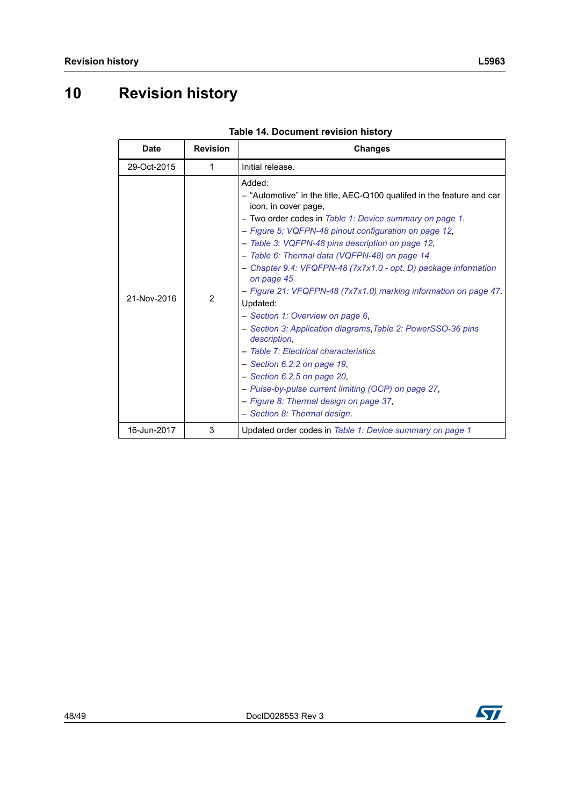# <span id="page-47-0"></span>**10 Revision history**

<span id="page-47-1"></span>

| <b>Date</b> | <b>Revision</b> | <b>Changes</b>                                                                                                                                                                                                                                                                                                                                                                                                                                                                                                                                                                                                                                                                                                                                                                                                                                                   |
|-------------|-----------------|------------------------------------------------------------------------------------------------------------------------------------------------------------------------------------------------------------------------------------------------------------------------------------------------------------------------------------------------------------------------------------------------------------------------------------------------------------------------------------------------------------------------------------------------------------------------------------------------------------------------------------------------------------------------------------------------------------------------------------------------------------------------------------------------------------------------------------------------------------------|
| 29-Oct-2015 | 1               | Initial release.                                                                                                                                                                                                                                                                                                                                                                                                                                                                                                                                                                                                                                                                                                                                                                                                                                                 |
| 21-Nov-2016 | $\overline{2}$  | Added:<br>- "Automotive" in the title, AEC-Q100 qualifed in the feature and car<br>icon, in cover page,<br>- Two order codes in Table 1: Device summary on page 1.<br>- Figure 5: VQFPN-48 pinout configuration on page 12,<br>- Table 3: VQFPN-48 pins description on page 12,<br>- Table 6: Thermal data (VQFPN-48) on page 14<br>- Chapter 9.4: VFQFPN-48 (7x7x1.0 - opt. D) package information<br>on page 45<br>- Figure 21: VFQFPN-48 (7x7x1.0) marking information on page 47<br>Updated:<br>- Section 1: Overview on page 6,<br>- Section 3: Application diagrams, Table 2: PowerSSO-36 pins<br>description.<br>- Table 7: Electrical characteristics<br>$-$ Section 6.2.2 on page 19,<br>$-$ Section 6.2.5 on page 20,<br>- Pulse-by-pulse current limiting (OCP) on page 27,<br>- Figure 8: Thermal design on page 37,<br>- Section 8: Thermal design. |
| 16-Jun-2017 | 3               | Updated order codes in Table 1: Device summary on page 1                                                                                                                                                                                                                                                                                                                                                                                                                                                                                                                                                                                                                                                                                                                                                                                                         |

|  | Table 14. Document revision history |  |
|--|-------------------------------------|--|
|  |                                     |  |